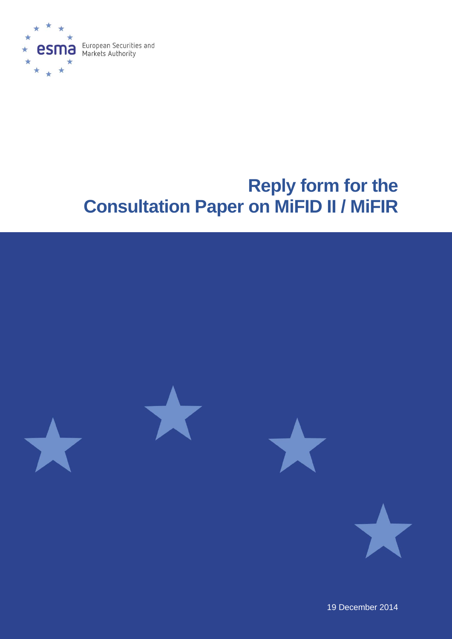

# **Reply form for the Consultation Paper on MiFID II / MiFIR**



19 December 2014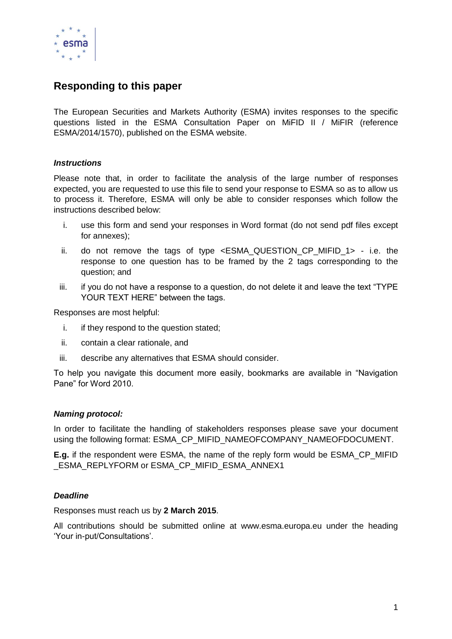

### **Responding to this paper**

The European Securities and Markets Authority (ESMA) invites responses to the specific questions listed in the ESMA Consultation Paper on MiFID II / MiFIR (reference ESMA/2014/1570), published on the ESMA website.

### *Instructions*

Please note that, in order to facilitate the analysis of the large number of responses expected, you are requested to use this file to send your response to ESMA so as to allow us to process it. Therefore, ESMA will only be able to consider responses which follow the instructions described below:

- i. use this form and send your responses in Word format (do not send pdf files except for annexes);
- ii. do not remove the tags of type  $\leq$  ESMA QUESTION CP MIFID 1> i.e. the response to one question has to be framed by the 2 tags corresponding to the question; and
- iii. if you do not have a response to a question, do not delete it and leave the text "TYPE YOUR TEXT HERE" between the tags.

Responses are most helpful:

- i. if they respond to the question stated;
- ii. contain a clear rationale, and
- iii. describe any alternatives that ESMA should consider.

To help you navigate this document more easily, bookmarks are available in "Navigation Pane" for Word 2010.

#### *Naming protocol:*

In order to facilitate the handling of stakeholders responses please save your document using the following format: ESMA\_CP\_MIFID\_NAMEOFCOMPANY\_NAMEOFDOCUMENT.

**E.g.** if the respondent were ESMA, the name of the reply form would be ESMA\_CP\_MIFID \_ESMA\_REPLYFORM or ESMA\_CP\_MIFID\_ESMA\_ANNEX1

#### *Deadline*

Responses must reach us by **2 March 2015**.

All contributions should be submitted online at www.esma.europa.eu under the heading 'Your in-put/Consultations'.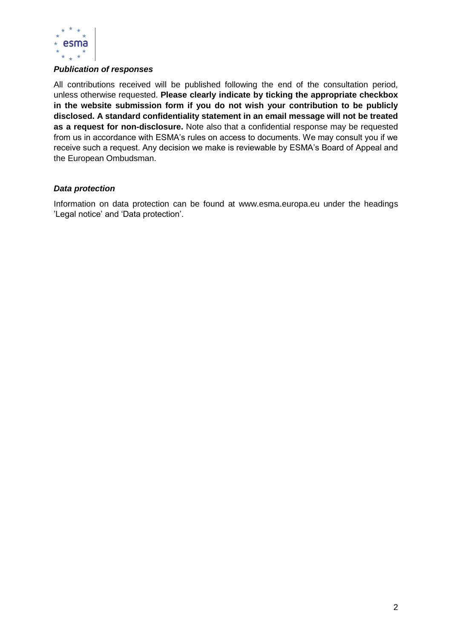

### *Publication of responses*

All contributions received will be published following the end of the consultation period, unless otherwise requested. **Please clearly indicate by ticking the appropriate checkbox in the website submission form if you do not wish your contribution to be publicly disclosed. A standard confidentiality statement in an email message will not be treated as a request for non-disclosure.** Note also that a confidential response may be requested from us in accordance with ESMA's rules on access to documents. We may consult you if we receive such a request. Any decision we make is reviewable by ESMA's Board of Appeal and the European Ombudsman.

#### *Data protection*

Information on data protection can be found at www.esma.europa.eu under the headings 'Legal notice' and 'Data protection'.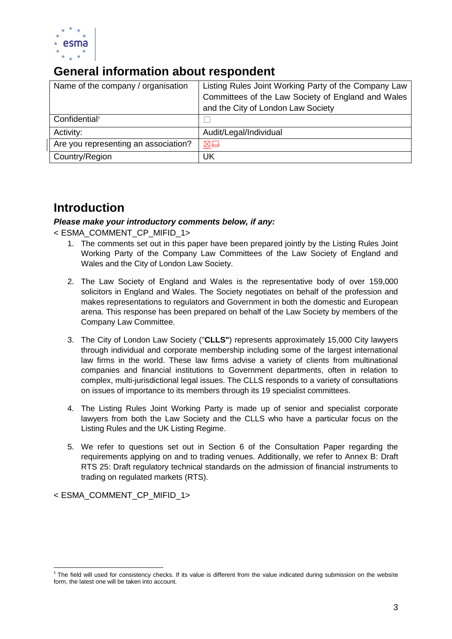

### **General information about respondent**

| Name of the company / organisation   | Listing Rules Joint Working Party of the Company Law |
|--------------------------------------|------------------------------------------------------|
|                                      | Committees of the Law Society of England and Wales   |
|                                      | and the City of London Law Society                   |
| Confidential <sup>1</sup>            |                                                      |
| Activity:                            | Audit/Legal/Individual                               |
| Are you representing an association? | 区日                                                   |
| Country/Region                       | UK                                                   |

### **Introduction**

### *Please make your introductory comments below, if any:*

< ESMA\_COMMENT\_CP\_MIFID\_1>

- 1. The comments set out in this paper have been prepared jointly by the Listing Rules Joint Working Party of the Company Law Committees of the Law Society of England and Wales and the City of London Law Society.
- 2. The Law Society of England and Wales is the representative body of over 159,000 solicitors in England and Wales. The Society negotiates on behalf of the profession and makes representations to regulators and Government in both the domestic and European arena. This response has been prepared on behalf of the Law Society by members of the Company Law Committee.
- 3. The City of London Law Society ("**CLLS"**) represents approximately 15,000 City lawyers through individual and corporate membership including some of the largest international law firms in the world. These law firms advise a variety of clients from multinational companies and financial institutions to Government departments, often in relation to complex, multi-jurisdictional legal issues. The CLLS responds to a variety of consultations on issues of importance to its members through its 19 specialist committees.
- 4. The Listing Rules Joint Working Party is made up of senior and specialist corporate lawyers from both the Law Society and the CLLS who have a particular focus on the Listing Rules and the UK Listing Regime.
- 5. We refer to questions set out in Section 6 of the Consultation Paper regarding the requirements applying on and to trading venues. Additionally, we refer to Annex B: Draft RTS 25: Draft regulatory technical standards on the admission of financial instruments to trading on regulated markets (RTS).

< ESMA\_COMMENT\_CP\_MIFID\_1>

 1 The field will used for consistency checks. If its value is different from the value indicated during submission on the website form, the latest one will be taken into account.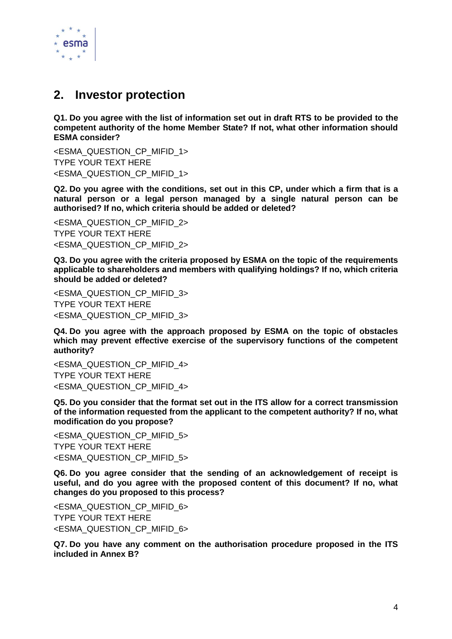

### **2. Investor protection**

**Q1. Do you agree with the list of information set out in draft RTS to be provided to the competent authority of the home Member State? If not, what other information should ESMA consider?** 

<ESMA\_QUESTION\_CP\_MIFID\_1> TYPE YOUR TEXT HERE <ESMA\_QUESTION\_CP\_MIFID\_1>

**Q2. Do you agree with the conditions, set out in this CP, under which a firm that is a natural person or a legal person managed by a single natural person can be authorised? If no, which criteria should be added or deleted?**

<ESMA\_QUESTION\_CP\_MIFID\_2> TYPE YOUR TEXT HERE <ESMA\_QUESTION\_CP\_MIFID\_2>

**Q3. Do you agree with the criteria proposed by ESMA on the topic of the requirements applicable to shareholders and members with qualifying holdings? If no, which criteria should be added or deleted?**

<ESMA\_QUESTION\_CP\_MIFID\_3> TYPE YOUR TEXT HERE <ESMA\_QUESTION\_CP\_MIFID\_3>

**Q4. Do you agree with the approach proposed by ESMA on the topic of obstacles which may prevent effective exercise of the supervisory functions of the competent authority?**

<ESMA\_QUESTION\_CP\_MIFID\_4> TYPE YOUR TEXT HERE <ESMA\_QUESTION\_CP\_MIFID\_4>

**Q5. Do you consider that the format set out in the ITS allow for a correct transmission of the information requested from the applicant to the competent authority? If no, what modification do you propose?**

<ESMA\_QUESTION\_CP\_MIFID\_5> TYPE YOUR TEXT HERE <ESMA\_QUESTION\_CP\_MIFID\_5>

**Q6. Do you agree consider that the sending of an acknowledgement of receipt is useful, and do you agree with the proposed content of this document? If no, what changes do you proposed to this process?**

<ESMA\_QUESTION\_CP\_MIFID\_6> TYPE YOUR TEXT HERE <ESMA\_QUESTION\_CP\_MIFID\_6>

**Q7. Do you have any comment on the authorisation procedure proposed in the ITS included in Annex B?**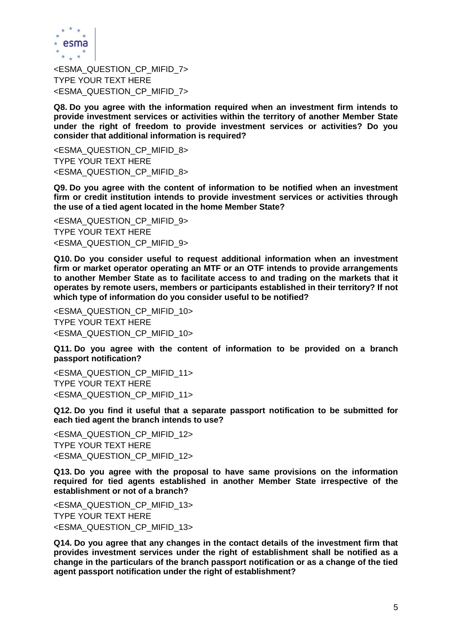

<ESMA\_QUESTION\_CP\_MIFID\_7> TYPE YOUR TEXT HERE <ESMA\_QUESTION\_CP\_MIFID\_7>

**Q8. Do you agree with the information required when an investment firm intends to provide investment services or activities within the territory of another Member State under the right of freedom to provide investment services or activities? Do you consider that additional information is required?**

<ESMA\_QUESTION\_CP\_MIFID\_8> TYPE YOUR TEXT HERE <ESMA\_QUESTION\_CP\_MIFID\_8>

**Q9. Do you agree with the content of information to be notified when an investment firm or credit institution intends to provide investment services or activities through the use of a tied agent located in the home Member State?**

<ESMA\_QUESTION\_CP\_MIFID\_9> TYPE YOUR TEXT HERE <ESMA\_QUESTION\_CP\_MIFID\_9>

**Q10. Do you consider useful to request additional information when an investment firm or market operator operating an MTF or an OTF intends to provide arrangements to another Member State as to facilitate access to and trading on the markets that it operates by remote users, members or participants established in their territory? If not which type of information do you consider useful to be notified?**

<ESMA\_QUESTION\_CP\_MIFID\_10> TYPE YOUR TEXT HERE <ESMA\_QUESTION\_CP\_MIFID\_10>

**Q11. Do you agree with the content of information to be provided on a branch passport notification?**

<ESMA\_QUESTION\_CP\_MIFID\_11> TYPE YOUR TEXT HERE <ESMA\_QUESTION\_CP\_MIFID\_11>

**Q12. Do you find it useful that a separate passport notification to be submitted for each tied agent the branch intends to use?**

<ESMA\_QUESTION\_CP\_MIFID\_12> TYPE YOUR TEXT HERE <ESMA\_QUESTION\_CP\_MIFID\_12>

**Q13. Do you agree with the proposal to have same provisions on the information required for tied agents established in another Member State irrespective of the establishment or not of a branch?**

<ESMA\_QUESTION\_CP\_MIFID\_13> TYPE YOUR TEXT HERE <ESMA\_QUESTION\_CP\_MIFID\_13>

**Q14. Do you agree that any changes in the contact details of the investment firm that provides investment services under the right of establishment shall be notified as a change in the particulars of the branch passport notification or as a change of the tied agent passport notification under the right of establishment?**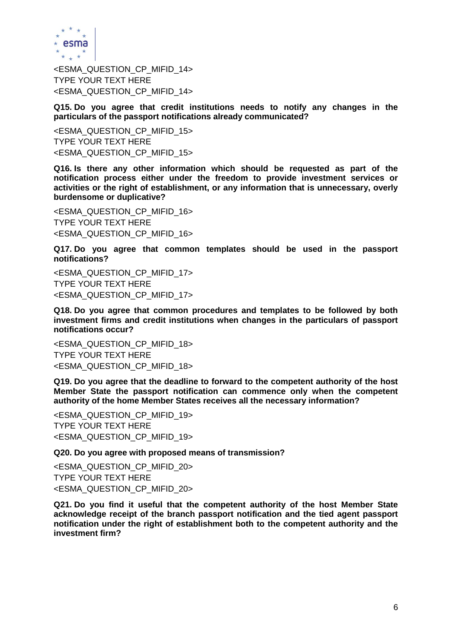

<ESMA\_QUESTION\_CP\_MIFID\_14> TYPE YOUR TEXT HERE <ESMA\_QUESTION\_CP\_MIFID\_14>

**Q15. Do you agree that credit institutions needs to notify any changes in the particulars of the passport notifications already communicated?**

<ESMA\_QUESTION\_CP\_MIFID\_15> TYPE YOUR TEXT HERE <ESMA\_QUESTION\_CP\_MIFID\_15>

**Q16. Is there any other information which should be requested as part of the notification process either under the freedom to provide investment services or activities or the right of establishment, or any information that is unnecessary, overly burdensome or duplicative?**

<ESMA\_QUESTION\_CP\_MIFID\_16> TYPE YOUR TEXT HERE <ESMA\_QUESTION\_CP\_MIFID\_16>

**Q17. Do you agree that common templates should be used in the passport notifications?**

<ESMA\_QUESTION\_CP\_MIFID\_17> TYPE YOUR TEXT HERE <ESMA\_QUESTION\_CP\_MIFID\_17>

**Q18. Do you agree that common procedures and templates to be followed by both investment firms and credit institutions when changes in the particulars of passport notifications occur?**

<ESMA\_QUESTION\_CP\_MIFID\_18> TYPE YOUR TEXT HERE <ESMA\_QUESTION\_CP\_MIFID\_18>

**Q19. Do you agree that the deadline to forward to the competent authority of the host Member State the passport notification can commence only when the competent authority of the home Member States receives all the necessary information?**

<ESMA\_QUESTION\_CP\_MIFID\_19> TYPE YOUR TEXT HERE <ESMA\_QUESTION\_CP\_MIFID\_19>

**Q20. Do you agree with proposed means of transmission?**

<ESMA\_QUESTION\_CP\_MIFID\_20> TYPE YOUR TEXT HERE <ESMA\_QUESTION\_CP\_MIFID\_20>

**Q21. Do you find it useful that the competent authority of the host Member State acknowledge receipt of the branch passport notification and the tied agent passport notification under the right of establishment both to the competent authority and the investment firm?**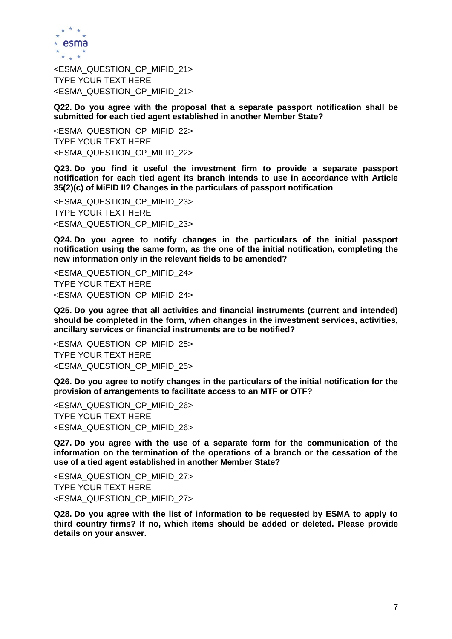

<ESMA\_QUESTION\_CP\_MIFID\_21> TYPE YOUR TEXT HERE <ESMA\_QUESTION\_CP\_MIFID\_21>

**Q22. Do you agree with the proposal that a separate passport notification shall be submitted for each tied agent established in another Member State?**

<ESMA\_QUESTION\_CP\_MIFID\_22> TYPE YOUR TEXT HERE <ESMA\_QUESTION\_CP\_MIFID\_22>

**Q23. Do you find it useful the investment firm to provide a separate passport notification for each tied agent its branch intends to use in accordance with Article 35(2)(c) of MiFID II? Changes in the particulars of passport notification**

<ESMA\_QUESTION\_CP\_MIFID\_23> TYPE YOUR TEXT HERE <ESMA\_QUESTION\_CP\_MIFID\_23>

**Q24. Do you agree to notify changes in the particulars of the initial passport notification using the same form, as the one of the initial notification, completing the new information only in the relevant fields to be amended?**

<ESMA\_QUESTION\_CP\_MIFID\_24> TYPE YOUR TEXT HERE <ESMA\_QUESTION\_CP\_MIFID\_24>

**Q25. Do you agree that all activities and financial instruments (current and intended) should be completed in the form, when changes in the investment services, activities, ancillary services or financial instruments are to be notified?**

<ESMA\_QUESTION\_CP\_MIFID\_25> TYPE YOUR TEXT HERE <ESMA\_QUESTION\_CP\_MIFID\_25>

**Q26. Do you agree to notify changes in the particulars of the initial notification for the provision of arrangements to facilitate access to an MTF or OTF?**

<ESMA\_QUESTION\_CP\_MIFID\_26> TYPE YOUR TEXT HERE <ESMA\_QUESTION\_CP\_MIFID\_26>

**Q27. Do you agree with the use of a separate form for the communication of the information on the termination of the operations of a branch or the cessation of the use of a tied agent established in another Member State?**

<ESMA\_QUESTION\_CP\_MIFID\_27> TYPE YOUR TEXT HERE <ESMA\_QUESTION\_CP\_MIFID\_27>

**Q28. Do you agree with the list of information to be requested by ESMA to apply to third country firms? If no, which items should be added or deleted. Please provide details on your answer.**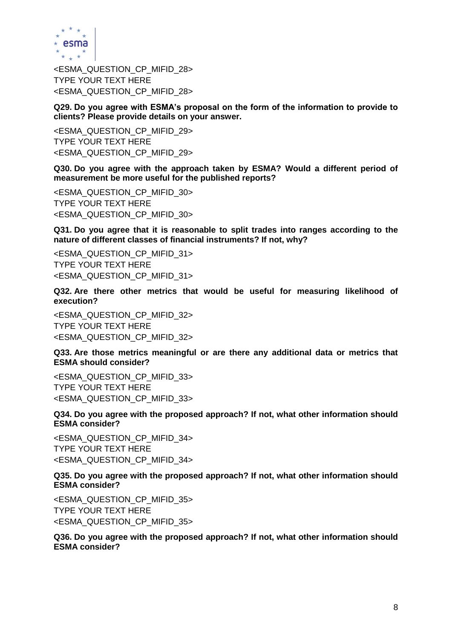

<ESMA\_QUESTION\_CP\_MIFID\_28> TYPE YOUR TEXT HERE <ESMA\_QUESTION\_CP\_MIFID\_28>

**Q29. Do you agree with ESMA's proposal on the form of the information to provide to clients? Please provide details on your answer.**

<ESMA\_QUESTION\_CP\_MIFID\_29> TYPE YOUR TEXT HERE <ESMA\_QUESTION\_CP\_MIFID\_29>

**Q30. Do you agree with the approach taken by ESMA? Would a different period of measurement be more useful for the published reports?**

<ESMA\_QUESTION\_CP\_MIFID\_30> TYPE YOUR TEXT HERE <ESMA\_QUESTION\_CP\_MIFID\_30>

**Q31. Do you agree that it is reasonable to split trades into ranges according to the nature of different classes of financial instruments? If not, why?**

<ESMA\_QUESTION\_CP\_MIFID\_31> TYPE YOUR TEXT HERE <ESMA\_QUESTION\_CP\_MIFID\_31>

**Q32. Are there other metrics that would be useful for measuring likelihood of execution?**

<ESMA\_QUESTION\_CP\_MIFID\_32> TYPE YOUR TEXT HERE <ESMA\_QUESTION\_CP\_MIFID\_32>

**Q33. Are those metrics meaningful or are there any additional data or metrics that ESMA should consider?**

<ESMA\_QUESTION\_CP\_MIFID\_33> TYPE YOUR TEXT HERE <ESMA\_QUESTION\_CP\_MIFID\_33>

**Q34. Do you agree with the proposed approach? If not, what other information should ESMA consider?**

<ESMA\_QUESTION\_CP\_MIFID\_34> TYPE YOUR TEXT HERE <ESMA\_QUESTION\_CP\_MIFID\_34>

**Q35. Do you agree with the proposed approach? If not, what other information should ESMA consider?**

<ESMA\_QUESTION\_CP\_MIFID\_35> TYPE YOUR TEXT HERE <ESMA\_QUESTION\_CP\_MIFID\_35>

**Q36. Do you agree with the proposed approach? If not, what other information should ESMA consider?**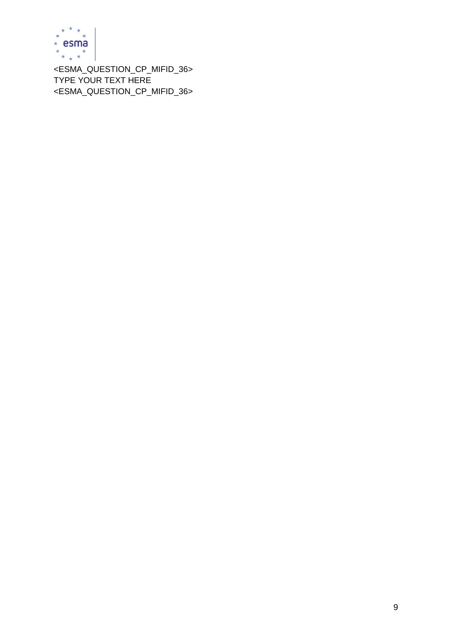

<ESMA\_QUESTION\_CP\_MIFID\_36> TYPE YOUR TEXT HERE <ESMA\_QUESTION\_CP\_MIFID\_36>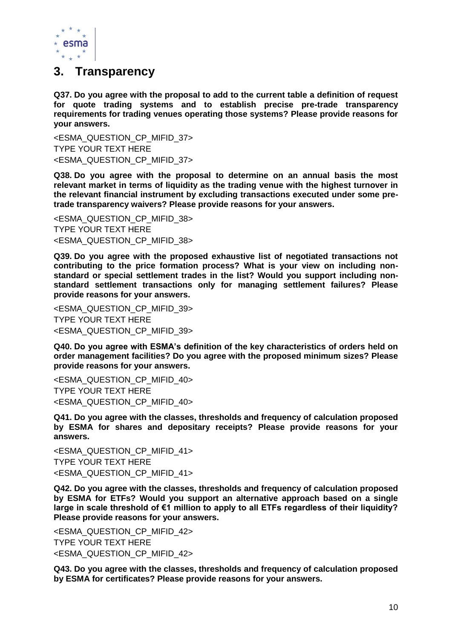

### **3. Transparency**

**Q37. Do you agree with the proposal to add to the current table a definition of request for quote trading systems and to establish precise pre-trade transparency requirements for trading venues operating those systems? Please provide reasons for your answers.**

<ESMA\_QUESTION\_CP\_MIFID\_37> TYPE YOUR TEXT HERE <ESMA\_QUESTION\_CP\_MIFID\_37>

**Q38. Do you agree with the proposal to determine on an annual basis the most relevant market in terms of liquidity as the trading venue with the highest turnover in the relevant financial instrument by excluding transactions executed under some pretrade transparency waivers? Please provide reasons for your answers.** 

<ESMA\_QUESTION\_CP\_MIFID\_38> TYPE YOUR TEXT HERE <ESMA\_QUESTION\_CP\_MIFID\_38>

**Q39. Do you agree with the proposed exhaustive list of negotiated transactions not contributing to the price formation process? What is your view on including nonstandard or special settlement trades in the list? Would you support including nonstandard settlement transactions only for managing settlement failures? Please provide reasons for your answers.**

<ESMA\_QUESTION\_CP\_MIFID\_39> TYPE YOUR TEXT HERE <ESMA\_QUESTION\_CP\_MIFID\_39>

**Q40. Do you agree with ESMA's definition of the key characteristics of orders held on order management facilities? Do you agree with the proposed minimum sizes? Please provide reasons for your answers.**

<ESMA\_QUESTION\_CP\_MIFID\_40> TYPE YOUR TEXT HERE <ESMA\_QUESTION\_CP\_MIFID\_40>

**Q41. Do you agree with the classes, thresholds and frequency of calculation proposed by ESMA for shares and depositary receipts? Please provide reasons for your answers.**

<ESMA\_QUESTION\_CP\_MIFID\_41> TYPE YOUR TEXT HERE <ESMA\_QUESTION\_CP\_MIFID\_41>

**Q42. Do you agree with the classes, thresholds and frequency of calculation proposed by ESMA for ETFs? Would you support an alternative approach based on a single large in scale threshold of €1 million to apply to all ETFs regardless of their liquidity? Please provide reasons for your answers.**

<ESMA\_QUESTION\_CP\_MIFID\_42> TYPE YOUR TEXT HERE <ESMA\_QUESTION\_CP\_MIFID\_42>

**Q43. Do you agree with the classes, thresholds and frequency of calculation proposed by ESMA for certificates? Please provide reasons for your answers.**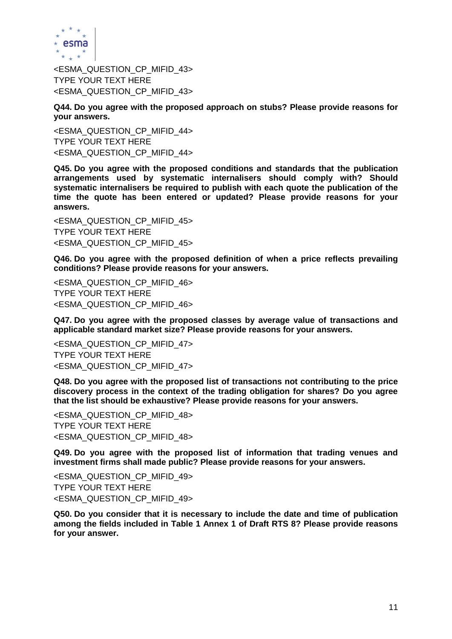

<ESMA\_QUESTION\_CP\_MIFID\_43> TYPE YOUR TEXT HERE <ESMA\_QUESTION\_CP\_MIFID\_43>

**Q44. Do you agree with the proposed approach on stubs? Please provide reasons for your answers.** 

<ESMA\_QUESTION\_CP\_MIFID\_44> TYPE YOUR TEXT HERE <ESMA\_QUESTION\_CP\_MIFID\_44>

**Q45. Do you agree with the proposed conditions and standards that the publication arrangements used by systematic internalisers should comply with? Should systematic internalisers be required to publish with each quote the publication of the time the quote has been entered or updated? Please provide reasons for your answers.**

<ESMA\_QUESTION\_CP\_MIFID\_45> TYPE YOUR TEXT HERE <ESMA\_QUESTION\_CP\_MIFID\_45>

**Q46. Do you agree with the proposed definition of when a price reflects prevailing conditions? Please provide reasons for your answers.**

<ESMA\_QUESTION\_CP\_MIFID\_46> TYPE YOUR TEXT HERE <ESMA\_QUESTION\_CP\_MIFID\_46>

**Q47. Do you agree with the proposed classes by average value of transactions and applicable standard market size? Please provide reasons for your answers.**

<ESMA\_QUESTION\_CP\_MIFID\_47> TYPE YOUR TEXT HERE <ESMA\_QUESTION\_CP\_MIFID\_47>

**Q48. Do you agree with the proposed list of transactions not contributing to the price discovery process in the context of the trading obligation for shares? Do you agree that the list should be exhaustive? Please provide reasons for your answers.**

<ESMA\_QUESTION\_CP\_MIFID\_48> TYPE YOUR TEXT HERE <ESMA\_QUESTION\_CP\_MIFID\_48>

**Q49. Do you agree with the proposed list of information that trading venues and investment firms shall made public? Please provide reasons for your answers.** 

<ESMA\_QUESTION\_CP\_MIFID\_49> TYPE YOUR TEXT HERE <ESMA\_QUESTION\_CP\_MIFID\_49>

**Q50. Do you consider that it is necessary to include the date and time of publication among the fields included in Table 1 Annex 1 of Draft RTS 8? Please provide reasons for your answer.**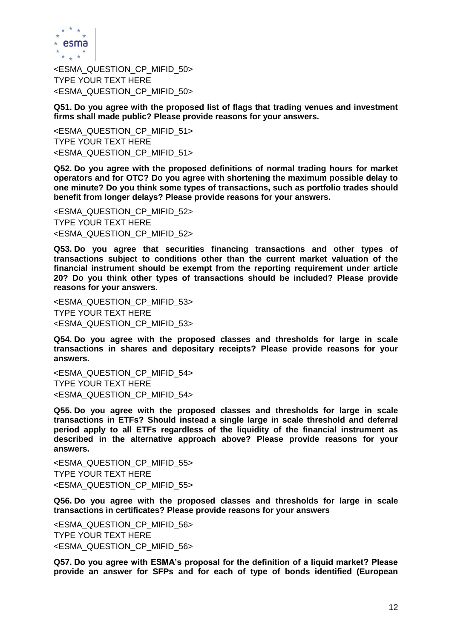

<ESMA\_QUESTION\_CP\_MIFID\_50> TYPE YOUR TEXT HERE <ESMA\_QUESTION\_CP\_MIFID\_50>

**Q51. Do you agree with the proposed list of flags that trading venues and investment firms shall made public? Please provide reasons for your answers.**

<ESMA\_QUESTION\_CP\_MIFID\_51> TYPE YOUR TEXT HERE <ESMA\_QUESTION\_CP\_MIFID\_51>

**Q52. Do you agree with the proposed definitions of normal trading hours for market operators and for OTC? Do you agree with shortening the maximum possible delay to one minute? Do you think some types of transactions, such as portfolio trades should benefit from longer delays? Please provide reasons for your answers.**

<ESMA\_QUESTION\_CP\_MIFID\_52> TYPE YOUR TEXT HERE <ESMA\_QUESTION\_CP\_MIFID\_52>

**Q53. Do you agree that securities financing transactions and other types of transactions subject to conditions other than the current market valuation of the financial instrument should be exempt from the reporting requirement under article 20? Do you think other types of transactions should be included? Please provide reasons for your answers.**

<ESMA\_QUESTION\_CP\_MIFID\_53> TYPE YOUR TEXT HERE <ESMA\_QUESTION\_CP\_MIFID\_53>

**Q54. Do you agree with the proposed classes and thresholds for large in scale transactions in shares and depositary receipts? Please provide reasons for your answers.** 

<ESMA\_QUESTION\_CP\_MIFID\_54> TYPE YOUR TEXT HERE <ESMA\_QUESTION\_CP\_MIFID\_54>

**Q55. Do you agree with the proposed classes and thresholds for large in scale transactions in ETFs? Should instead a single large in scale threshold and deferral period apply to all ETFs regardless of the liquidity of the financial instrument as described in the alternative approach above? Please provide reasons for your answers.**

<ESMA\_QUESTION\_CP\_MIFID\_55> TYPE YOUR TEXT HERE <ESMA\_QUESTION\_CP\_MIFID\_55>

**Q56. Do you agree with the proposed classes and thresholds for large in scale transactions in certificates? Please provide reasons for your answers**

<ESMA\_QUESTION\_CP\_MIFID\_56> TYPE YOUR TEXT HERE <ESMA\_QUESTION\_CP\_MIFID\_56>

**Q57. Do you agree with ESMA's proposal for the definition of a liquid market? Please provide an answer for SFPs and for each of type of bonds identified (European**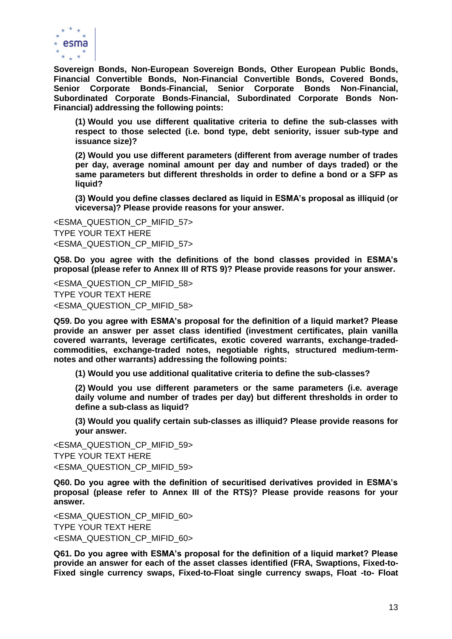

**Sovereign Bonds, Non-European Sovereign Bonds, Other European Public Bonds, Financial Convertible Bonds, Non-Financial Convertible Bonds, Covered Bonds, Senior Corporate Bonds-Financial, Senior Corporate Bonds Non-Financial, Subordinated Corporate Bonds-Financial, Subordinated Corporate Bonds Non-Financial) addressing the following points:**

**(1) Would you use different qualitative criteria to define the sub-classes with respect to those selected (i.e. bond type, debt seniority, issuer sub-type and issuance size)?** 

**(2) Would you use different parameters (different from average number of trades per day, average nominal amount per day and number of days traded) or the same parameters but different thresholds in order to define a bond or a SFP as liquid?** 

**(3) Would you define classes declared as liquid in ESMA's proposal as illiquid (or viceversa)? Please provide reasons for your answer.**

<ESMA\_QUESTION\_CP\_MIFID\_57> TYPE YOUR TEXT HERE <ESMA\_QUESTION\_CP\_MIFID\_57>

**Q58. Do you agree with the definitions of the bond classes provided in ESMA's proposal (please refer to Annex III of RTS 9)? Please provide reasons for your answer.**

<ESMA\_QUESTION\_CP\_MIFID\_58> TYPE YOUR TEXT HERE <ESMA\_QUESTION\_CP\_MIFID\_58>

**Q59. Do you agree with ESMA's proposal for the definition of a liquid market? Please provide an answer per asset class identified (investment certificates, plain vanilla covered warrants, leverage certificates, exotic covered warrants, exchange-tradedcommodities, exchange-traded notes, negotiable rights, structured medium-termnotes and other warrants) addressing the following points:** 

**(1) Would you use additional qualitative criteria to define the sub-classes?**

**(2) Would you use different parameters or the same parameters (i.e. average daily volume and number of trades per day) but different thresholds in order to define a sub-class as liquid?**

**(3) Would you qualify certain sub-classes as illiquid? Please provide reasons for your answer.**

<ESMA\_QUESTION\_CP\_MIFID\_59> TYPE YOUR TEXT HERE <ESMA\_QUESTION\_CP\_MIFID\_59>

**Q60. Do you agree with the definition of securitised derivatives provided in ESMA's proposal (please refer to Annex III of the RTS)? Please provide reasons for your answer.**

<ESMA\_QUESTION\_CP\_MIFID\_60> TYPE YOUR TEXT HERE <ESMA\_QUESTION\_CP\_MIFID\_60>

**Q61. Do you agree with ESMA's proposal for the definition of a liquid market? Please provide an answer for each of the asset classes identified (FRA, Swaptions, Fixed-to-Fixed single currency swaps, Fixed-to-Float single currency swaps, Float -to- Float**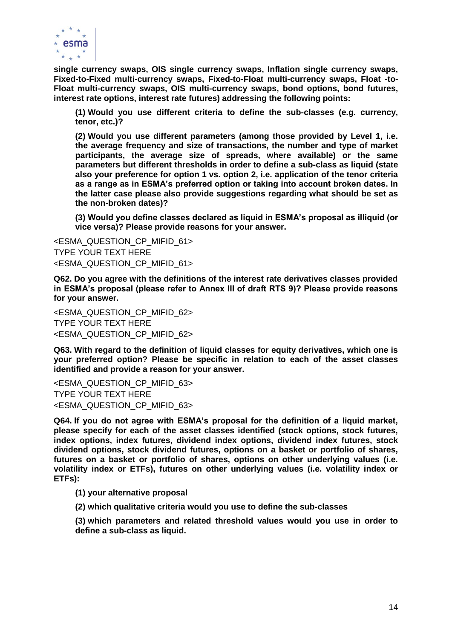

**single currency swaps, OIS single currency swaps, Inflation single currency swaps, Fixed-to-Fixed multi-currency swaps, Fixed-to-Float multi-currency swaps, Float -to-Float multi-currency swaps, OIS multi-currency swaps, bond options, bond futures, interest rate options, interest rate futures) addressing the following points:** 

**(1) Would you use different criteria to define the sub-classes (e.g. currency, tenor, etc.)?**

**(2) Would you use different parameters (among those provided by Level 1, i.e. the average frequency and size of transactions, the number and type of market participants, the average size of spreads, where available) or the same parameters but different thresholds in order to define a sub-class as liquid (state also your preference for option 1 vs. option 2, i.e. application of the tenor criteria as a range as in ESMA's preferred option or taking into account broken dates. In the latter case please also provide suggestions regarding what should be set as the non-broken dates)?** 

**(3) Would you define classes declared as liquid in ESMA's proposal as illiquid (or vice versa)? Please provide reasons for your answer.**

<ESMA\_QUESTION\_CP\_MIFID\_61> TYPE YOUR TEXT HERE <ESMA\_QUESTION\_CP\_MIFID\_61>

**Q62. Do you agree with the definitions of the interest rate derivatives classes provided in ESMA's proposal (please refer to Annex III of draft RTS 9)? Please provide reasons for your answer.**

<ESMA\_QUESTION\_CP\_MIFID\_62> TYPE YOUR TEXT HERE <ESMA\_QUESTION\_CP\_MIFID\_62>

**Q63. With regard to the definition of liquid classes for equity derivatives, which one is your preferred option? Please be specific in relation to each of the asset classes identified and provide a reason for your answer.**

<ESMA\_QUESTION\_CP\_MIFID\_63> TYPE YOUR TEXT HERE <ESMA\_QUESTION\_CP\_MIFID\_63>

**Q64. If you do not agree with ESMA's proposal for the definition of a liquid market, please specify for each of the asset classes identified (stock options, stock futures, index options, index futures, dividend index options, dividend index futures, stock dividend options, stock dividend futures, options on a basket or portfolio of shares, futures on a basket or portfolio of shares, options on other underlying values (i.e. volatility index or ETFs), futures on other underlying values (i.e. volatility index or ETFs):** 

**(1) your alternative proposal** 

**(2) which qualitative criteria would you use to define the sub-classes** 

**(3) which parameters and related threshold values would you use in order to define a sub-class as liquid.**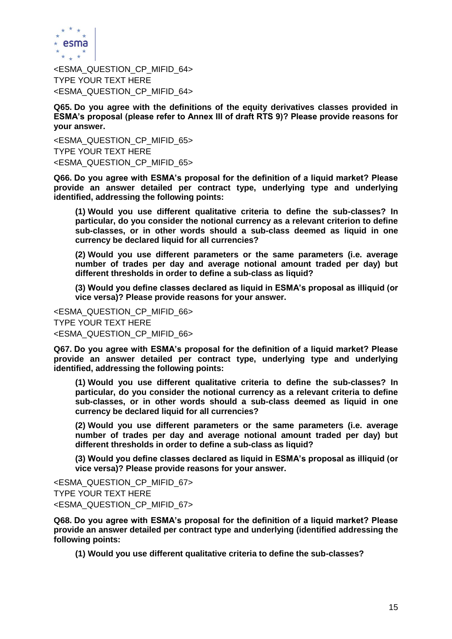

<ESMA\_QUESTION\_CP\_MIFID\_64> TYPE YOUR TEXT HERE <ESMA\_QUESTION\_CP\_MIFID\_64>

**Q65. Do you agree with the definitions of the equity derivatives classes provided in ESMA's proposal (please refer to Annex III of draft RTS 9)? Please provide reasons for your answer.**

<ESMA\_QUESTION\_CP\_MIFID\_65> TYPE YOUR TEXT HERE <ESMA\_QUESTION\_CP\_MIFID\_65>

**Q66. Do you agree with ESMA's proposal for the definition of a liquid market? Please provide an answer detailed per contract type, underlying type and underlying identified, addressing the following points:** 

**(1) Would you use different qualitative criteria to define the sub-classes? In particular, do you consider the notional currency as a relevant criterion to define sub-classes, or in other words should a sub-class deemed as liquid in one currency be declared liquid for all currencies?** 

**(2) Would you use different parameters or the same parameters (i.e. average number of trades per day and average notional amount traded per day) but different thresholds in order to define a sub-class as liquid?**

**(3) Would you define classes declared as liquid in ESMA's proposal as illiquid (or vice versa)? Please provide reasons for your answer.**

<ESMA\_QUESTION\_CP\_MIFID\_66> TYPE YOUR TEXT HERE <ESMA\_QUESTION\_CP\_MIFID\_66>

**Q67. Do you agree with ESMA's proposal for the definition of a liquid market? Please provide an answer detailed per contract type, underlying type and underlying identified, addressing the following points:** 

**(1) Would you use different qualitative criteria to define the sub-classes? In particular, do you consider the notional currency as a relevant criteria to define sub-classes, or in other words should a sub-class deemed as liquid in one currency be declared liquid for all currencies?**

**(2) Would you use different parameters or the same parameters (i.e. average number of trades per day and average notional amount traded per day) but different thresholds in order to define a sub-class as liquid?**

**(3) Would you define classes declared as liquid in ESMA's proposal as illiquid (or vice versa)? Please provide reasons for your answer.** 

<ESMA\_QUESTION\_CP\_MIFID\_67> TYPE YOUR TEXT HERE <ESMA\_QUESTION\_CP\_MIFID\_67>

**Q68. Do you agree with ESMA's proposal for the definition of a liquid market? Please provide an answer detailed per contract type and underlying (identified addressing the following points:**

**(1) Would you use different qualitative criteria to define the sub-classes?**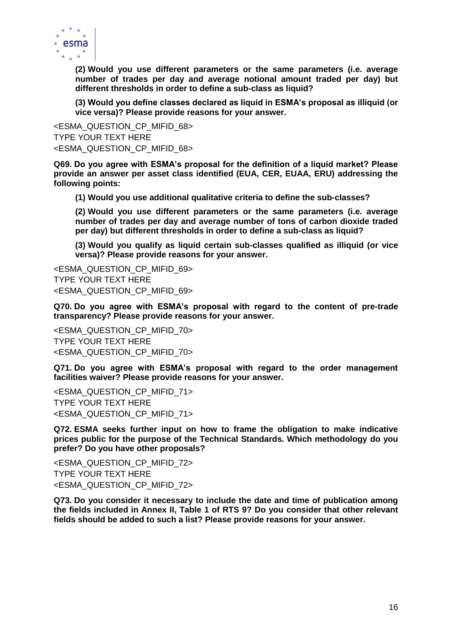

**(2) Would you use different parameters or the same parameters (i.e. average number of trades per day and average notional amount traded per day) but different thresholds in order to define a sub-class as liquid?**

**(3) Would you define classes declared as liquid in ESMA's proposal as illiquid (or vice versa)? Please provide reasons for your answer.**

<ESMA\_QUESTION\_CP\_MIFID\_68> TYPE YOUR TEXT HERE <ESMA\_QUESTION\_CP\_MIFID\_68>

**Q69. Do you agree with ESMA's proposal for the definition of a liquid market? Please provide an answer per asset class identified (EUA, CER, EUAA, ERU) addressing the following points:** 

**(1) Would you use additional qualitative criteria to define the sub-classes?**

**(2) Would you use different parameters or the same parameters (i.e. average number of trades per day and average number of tons of carbon dioxide traded per day) but different thresholds in order to define a sub-class as liquid?**

**(3) Would you qualify as liquid certain sub-classes qualified as illiquid (or vice versa)? Please provide reasons for your answer.**

<ESMA\_QUESTION\_CP\_MIFID\_69> TYPE YOUR TEXT HERE <ESMA\_QUESTION\_CP\_MIFID\_69>

**Q70. Do you agree with ESMA's proposal with regard to the content of pre-trade transparency? Please provide reasons for your answer.**

<ESMA\_QUESTION\_CP\_MIFID\_70> TYPE YOUR TEXT HERE <ESMA\_QUESTION\_CP\_MIFID\_70>

**Q71. Do you agree with ESMA's proposal with regard to the order management facilities waiver? Please provide reasons for your answer.**

<ESMA\_QUESTION\_CP\_MIFID\_71> TYPE YOUR TEXT HERE <ESMA\_QUESTION\_CP\_MIFID\_71>

**Q72. ESMA seeks further input on how to frame the obligation to make indicative prices public for the purpose of the Technical Standards. Which methodology do you prefer? Do you have other proposals?**

<ESMA\_QUESTION\_CP\_MIFID\_72> TYPE YOUR TEXT HERE <ESMA\_QUESTION\_CP\_MIFID\_72>

**Q73. Do you consider it necessary to include the date and time of publication among the fields included in Annex II, Table 1 of RTS 9? Do you consider that other relevant fields should be added to such a list? Please provide reasons for your answer.**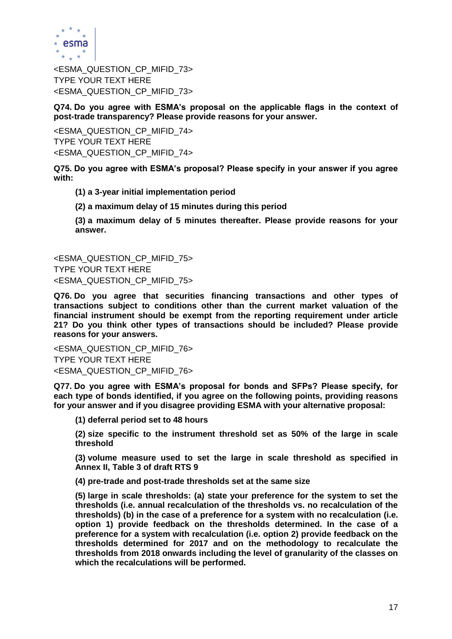

<ESMA\_QUESTION\_CP\_MIFID\_73> TYPE YOUR TEXT HERE <ESMA\_QUESTION\_CP\_MIFID\_73>

**Q74. Do you agree with ESMA's proposal on the applicable flags in the context of post-trade transparency? Please provide reasons for your answer.**

<ESMA\_QUESTION\_CP\_MIFID\_74> TYPE YOUR TEXT HERE <ESMA\_QUESTION\_CP\_MIFID\_74>

**Q75. Do you agree with ESMA's proposal? Please specify in your answer if you agree with:** 

**(1) a 3-year initial implementation period** 

**(2) a maximum delay of 15 minutes during this period** 

**(3) a maximum delay of 5 minutes thereafter. Please provide reasons for your answer.**

<ESMA\_QUESTION\_CP\_MIFID\_75> TYPE YOUR TEXT HERE <ESMA\_QUESTION\_CP\_MIFID\_75>

**Q76. Do you agree that securities financing transactions and other types of transactions subject to conditions other than the current market valuation of the financial instrument should be exempt from the reporting requirement under article 21? Do you think other types of transactions should be included? Please provide reasons for your answers.** 

<ESMA\_QUESTION\_CP\_MIFID\_76> TYPE YOUR TEXT HERE <ESMA\_QUESTION\_CP\_MIFID\_76>

**Q77. Do you agree with ESMA's proposal for bonds and SFPs? Please specify, for each type of bonds identified, if you agree on the following points, providing reasons for your answer and if you disagree providing ESMA with your alternative proposal:** 

**(1) deferral period set to 48 hours** 

**(2) size specific to the instrument threshold set as 50% of the large in scale threshold** 

**(3) volume measure used to set the large in scale threshold as specified in Annex II, Table 3 of draft RTS 9**

**(4) pre-trade and post-trade thresholds set at the same size** 

**(5) large in scale thresholds: (a) state your preference for the system to set the thresholds (i.e. annual recalculation of the thresholds vs. no recalculation of the thresholds) (b) in the case of a preference for a system with no recalculation (i.e. option 1) provide feedback on the thresholds determined. In the case of a preference for a system with recalculation (i.e. option 2) provide feedback on the thresholds determined for 2017 and on the methodology to recalculate the thresholds from 2018 onwards including the level of granularity of the classes on which the recalculations will be performed.**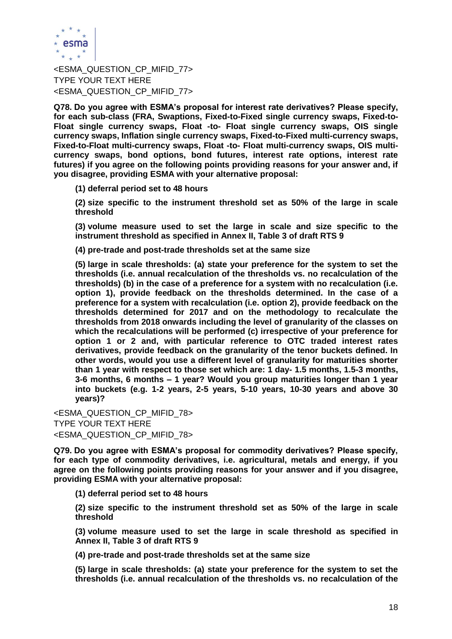

<ESMA\_QUESTION\_CP\_MIFID\_77> TYPE YOUR TEXT HERE <ESMA\_QUESTION\_CP\_MIFID\_77>

**Q78. Do you agree with ESMA's proposal for interest rate derivatives? Please specify, for each sub-class (FRA, Swaptions, Fixed-to-Fixed single currency swaps, Fixed-to-Float single currency swaps, Float -to- Float single currency swaps, OIS single currency swaps, Inflation single currency swaps, Fixed-to-Fixed multi-currency swaps, Fixed-to-Float multi-currency swaps, Float -to- Float multi-currency swaps, OIS multicurrency swaps, bond options, bond futures, interest rate options, interest rate futures) if you agree on the following points providing reasons for your answer and, if you disagree, providing ESMA with your alternative proposal:** 

**(1) deferral period set to 48 hours** 

**(2) size specific to the instrument threshold set as 50% of the large in scale threshold** 

**(3) volume measure used to set the large in scale and size specific to the instrument threshold as specified in Annex II, Table 3 of draft RTS 9**

**(4) pre-trade and post-trade thresholds set at the same size** 

**(5) large in scale thresholds: (a) state your preference for the system to set the thresholds (i.e. annual recalculation of the thresholds vs. no recalculation of the thresholds) (b) in the case of a preference for a system with no recalculation (i.e. option 1), provide feedback on the thresholds determined. In the case of a preference for a system with recalculation (i.e. option 2), provide feedback on the thresholds determined for 2017 and on the methodology to recalculate the thresholds from 2018 onwards including the level of granularity of the classes on which the recalculations will be performed (c) irrespective of your preference for option 1 or 2 and, with particular reference to OTC traded interest rates derivatives, provide feedback on the granularity of the tenor buckets defined. In other words, would you use a different level of granularity for maturities shorter than 1 year with respect to those set which are: 1 day- 1.5 months, 1.5-3 months, 3-6 months, 6 months – 1 year? Would you group maturities longer than 1 year into buckets (e.g. 1-2 years, 2-5 years, 5-10 years, 10-30 years and above 30 years)?**

<ESMA\_QUESTION\_CP\_MIFID\_78> TYPE YOUR TEXT HERE <ESMA\_QUESTION\_CP\_MIFID\_78>

**Q79. Do you agree with ESMA's proposal for commodity derivatives? Please specify, for each type of commodity derivatives, i.e. agricultural, metals and energy, if you agree on the following points providing reasons for your answer and if you disagree, providing ESMA with your alternative proposal:** 

**(1) deferral period set to 48 hours** 

**(2) size specific to the instrument threshold set as 50% of the large in scale threshold** 

**(3) volume measure used to set the large in scale threshold as specified in Annex II, Table 3 of draft RTS 9**

**(4) pre-trade and post-trade thresholds set at the same size** 

**(5) large in scale thresholds: (a) state your preference for the system to set the thresholds (i.e. annual recalculation of the thresholds vs. no recalculation of the**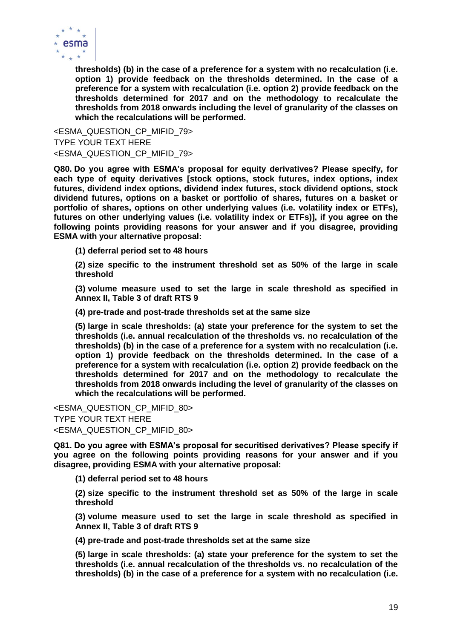

**thresholds) (b) in the case of a preference for a system with no recalculation (i.e. option 1) provide feedback on the thresholds determined. In the case of a preference for a system with recalculation (i.e. option 2) provide feedback on the thresholds determined for 2017 and on the methodology to recalculate the thresholds from 2018 onwards including the level of granularity of the classes on which the recalculations will be performed.**

<ESMA\_QUESTION\_CP\_MIFID\_79> TYPE YOUR TEXT HERE <ESMA\_QUESTION\_CP\_MIFID\_79>

**Q80. Do you agree with ESMA's proposal for equity derivatives? Please specify, for each type of equity derivatives [stock options, stock futures, index options, index futures, dividend index options, dividend index futures, stock dividend options, stock dividend futures, options on a basket or portfolio of shares, futures on a basket or portfolio of shares, options on other underlying values (i.e. volatility index or ETFs), futures on other underlying values (i.e. volatility index or ETFs)], if you agree on the following points providing reasons for your answer and if you disagree, providing ESMA with your alternative proposal:** 

**(1) deferral period set to 48 hours** 

**(2) size specific to the instrument threshold set as 50% of the large in scale threshold** 

**(3) volume measure used to set the large in scale threshold as specified in Annex II, Table 3 of draft RTS 9**

**(4) pre-trade and post-trade thresholds set at the same size** 

**(5) large in scale thresholds: (a) state your preference for the system to set the thresholds (i.e. annual recalculation of the thresholds vs. no recalculation of the thresholds) (b) in the case of a preference for a system with no recalculation (i.e. option 1) provide feedback on the thresholds determined. In the case of a preference for a system with recalculation (i.e. option 2) provide feedback on the thresholds determined for 2017 and on the methodology to recalculate the thresholds from 2018 onwards including the level of granularity of the classes on which the recalculations will be performed.**

<ESMA\_QUESTION\_CP\_MIFID\_80> TYPE YOUR TEXT HERE <ESMA\_QUESTION\_CP\_MIFID\_80>

**Q81. Do you agree with ESMA's proposal for securitised derivatives? Please specify if you agree on the following points providing reasons for your answer and if you disagree, providing ESMA with your alternative proposal:** 

**(1) deferral period set to 48 hours** 

**(2) size specific to the instrument threshold set as 50% of the large in scale threshold** 

**(3) volume measure used to set the large in scale threshold as specified in Annex II, Table 3 of draft RTS 9**

**(4) pre-trade and post-trade thresholds set at the same size** 

**(5) large in scale thresholds: (a) state your preference for the system to set the thresholds (i.e. annual recalculation of the thresholds vs. no recalculation of the thresholds) (b) in the case of a preference for a system with no recalculation (i.e.**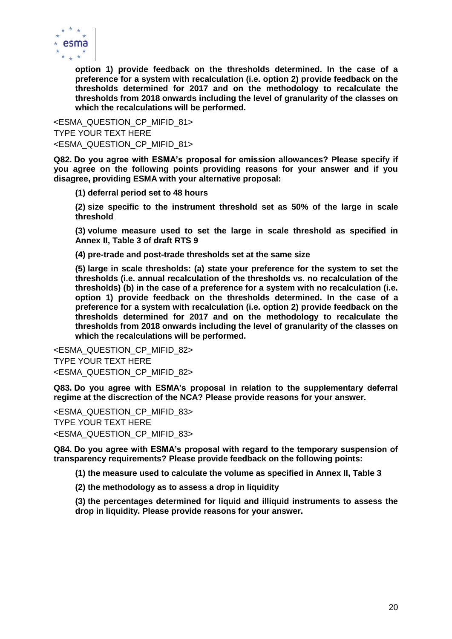

**option 1) provide feedback on the thresholds determined. In the case of a preference for a system with recalculation (i.e. option 2) provide feedback on the thresholds determined for 2017 and on the methodology to recalculate the thresholds from 2018 onwards including the level of granularity of the classes on which the recalculations will be performed.**

<ESMA\_QUESTION\_CP\_MIFID\_81> TYPE YOUR TEXT HERE <ESMA\_QUESTION\_CP\_MIFID\_81>

**Q82. Do you agree with ESMA's proposal for emission allowances? Please specify if you agree on the following points providing reasons for your answer and if you disagree, providing ESMA with your alternative proposal:** 

**(1) deferral period set to 48 hours** 

**(2) size specific to the instrument threshold set as 50% of the large in scale threshold** 

**(3) volume measure used to set the large in scale threshold as specified in Annex II, Table 3 of draft RTS 9**

**(4) pre-trade and post-trade thresholds set at the same size** 

**(5) large in scale thresholds: (a) state your preference for the system to set the thresholds (i.e. annual recalculation of the thresholds vs. no recalculation of the thresholds) (b) in the case of a preference for a system with no recalculation (i.e. option 1) provide feedback on the thresholds determined. In the case of a preference for a system with recalculation (i.e. option 2) provide feedback on the thresholds determined for 2017 and on the methodology to recalculate the thresholds from 2018 onwards including the level of granularity of the classes on which the recalculations will be performed.**

<ESMA\_QUESTION\_CP\_MIFID\_82> TYPE YOUR TEXT HERE <ESMA\_QUESTION\_CP\_MIFID\_82>

**Q83. Do you agree with ESMA's proposal in relation to the supplementary deferral regime at the discrection of the NCA? Please provide reasons for your answer.**

<ESMA\_QUESTION\_CP\_MIFID\_83> TYPE YOUR TEXT HERE <ESMA\_QUESTION\_CP\_MIFID\_83>

**Q84. Do you agree with ESMA's proposal with regard to the temporary suspension of transparency requirements? Please provide feedback on the following points:** 

**(1) the measure used to calculate the volume as specified in Annex II, Table 3** 

**(2) the methodology as to assess a drop in liquidity** 

**(3) the percentages determined for liquid and illiquid instruments to assess the drop in liquidity. Please provide reasons for your answer.**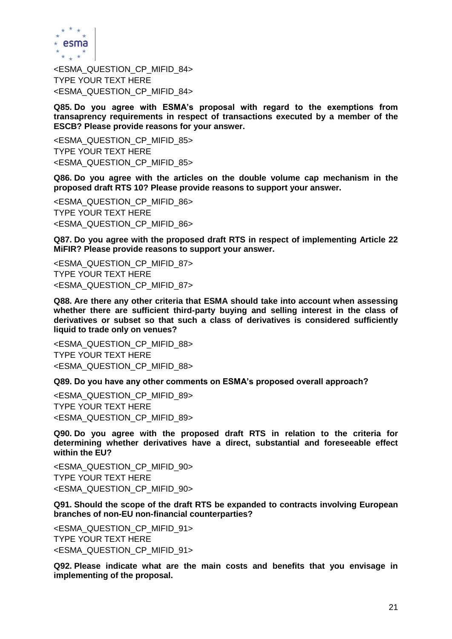

<ESMA\_QUESTION\_CP\_MIFID\_84> TYPE YOUR TEXT HERE <ESMA\_QUESTION\_CP\_MIFID\_84>

**Q85. Do you agree with ESMA's proposal with regard to the exemptions from transaprency requirements in respect of transactions executed by a member of the ESCB? Please provide reasons for your answer.**

<ESMA\_QUESTION\_CP\_MIFID\_85> TYPE YOUR TEXT HERE <ESMA\_QUESTION\_CP\_MIFID\_85>

**Q86. Do you agree with the articles on the double volume cap mechanism in the proposed draft RTS 10? Please provide reasons to support your answer.**

<ESMA\_QUESTION\_CP\_MIFID\_86> TYPE YOUR TEXT HERE <ESMA\_QUESTION\_CP\_MIFID\_86>

**Q87. Do you agree with the proposed draft RTS in respect of implementing Article 22 MiFIR? Please provide reasons to support your answer.**

<ESMA\_QUESTION\_CP\_MIFID\_87> TYPE YOUR TEXT HERE <ESMA\_QUESTION\_CP\_MIFID\_87>

**Q88. Are there any other criteria that ESMA should take into account when assessing whether there are sufficient third-party buying and selling interest in the class of derivatives or subset so that such a class of derivatives is considered sufficiently liquid to trade only on venues?**

<ESMA\_QUESTION\_CP\_MIFID\_88> TYPE YOUR TEXT HERE <ESMA\_QUESTION\_CP\_MIFID\_88>

**Q89. Do you have any other comments on ESMA's proposed overall approach?**

<ESMA\_QUESTION\_CP\_MIFID\_89> TYPE YOUR TEXT HERE <ESMA\_QUESTION\_CP\_MIFID\_89>

**Q90. Do you agree with the proposed draft RTS in relation to the criteria for determining whether derivatives have a direct, substantial and foreseeable effect within the EU?**

<ESMA\_QUESTION\_CP\_MIFID\_90> TYPE YOUR TEXT HERE <ESMA\_QUESTION\_CP\_MIFID\_90>

**Q91. Should the scope of the draft RTS be expanded to contracts involving European branches of non-EU non-financial counterparties?**

<ESMA\_QUESTION\_CP\_MIFID\_91> TYPE YOUR TEXT HERE <ESMA\_QUESTION\_CP\_MIFID\_91>

**Q92. Please indicate what are the main costs and benefits that you envisage in implementing of the proposal.**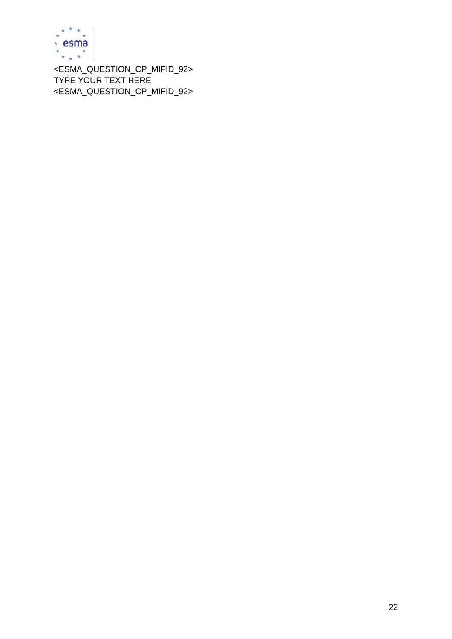

<ESMA\_QUESTION\_CP\_MIFID\_92> TYPE YOUR TEXT HERE <ESMA\_QUESTION\_CP\_MIFID\_92>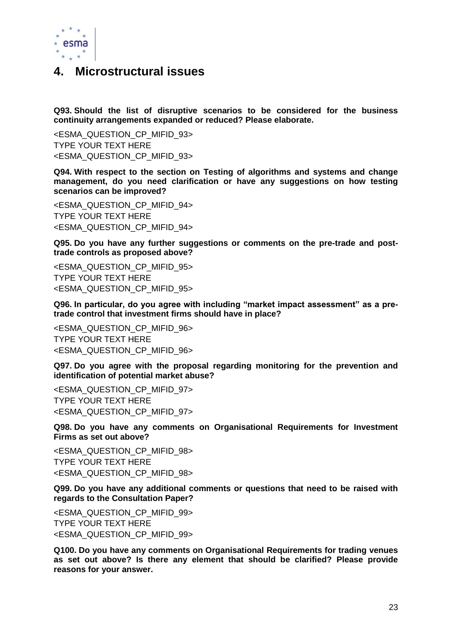

### **4. Microstructural issues**

**Q93. Should the list of disruptive scenarios to be considered for the business continuity arrangements expanded or reduced? Please elaborate.**

<ESMA\_QUESTION\_CP\_MIFID\_93> TYPE YOUR TEXT HERE <ESMA\_QUESTION\_CP\_MIFID\_93>

**Q94. With respect to the section on Testing of algorithms and systems and change management, do you need clarification or have any suggestions on how testing scenarios can be improved?**

<ESMA\_QUESTION\_CP\_MIFID\_94> TYPE YOUR TEXT HERE <ESMA\_QUESTION\_CP\_MIFID\_94>

**Q95. Do you have any further suggestions or comments on the pre-trade and posttrade controls as proposed above?**

<ESMA\_QUESTION\_CP\_MIFID\_95> TYPE YOUR TEXT HERE <ESMA\_QUESTION\_CP\_MIFID\_95>

**Q96. In particular, do you agree with including "market impact assessment" as a pretrade control that investment firms should have in place?**

<ESMA\_QUESTION\_CP\_MIFID\_96> TYPE YOUR TEXT HERE <ESMA\_QUESTION\_CP\_MIFID\_96>

**Q97. Do you agree with the proposal regarding monitoring for the prevention and identification of potential market abuse?**

<ESMA\_QUESTION\_CP\_MIFID\_97> TYPE YOUR TEXT HERE <ESMA\_QUESTION\_CP\_MIFID\_97>

**Q98. Do you have any comments on Organisational Requirements for Investment Firms as set out above?**

<ESMA\_QUESTION\_CP\_MIFID\_98> TYPE YOUR TEXT HERE <ESMA\_QUESTION\_CP\_MIFID\_98>

**Q99. Do you have any additional comments or questions that need to be raised with regards to the Consultation Paper?**

<ESMA\_QUESTION\_CP\_MIFID\_99> TYPE YOUR TEXT HERE <ESMA\_QUESTION\_CP\_MIFID\_99>

**Q100. Do you have any comments on Organisational Requirements for trading venues as set out above? Is there any element that should be clarified? Please provide reasons for your answer.**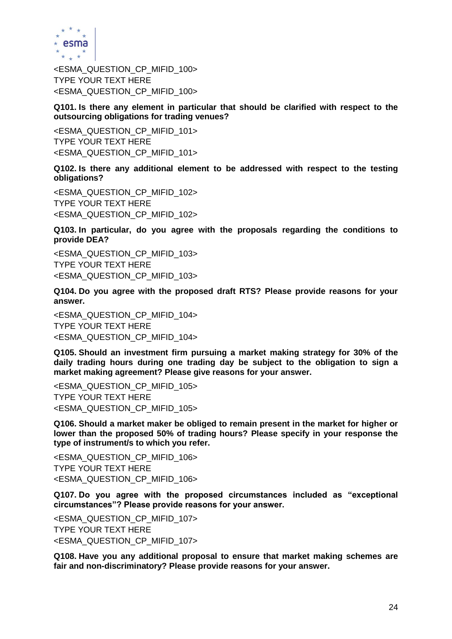

<ESMA\_QUESTION\_CP\_MIFID\_100> TYPE YOUR TEXT HERE <ESMA\_QUESTION\_CP\_MIFID\_100>

**Q101. Is there any element in particular that should be clarified with respect to the outsourcing obligations for trading venues?**

<ESMA\_QUESTION\_CP\_MIFID\_101> TYPE YOUR TEXT HERE <ESMA\_QUESTION\_CP\_MIFID\_101>

**Q102. Is there any additional element to be addressed with respect to the testing obligations?**

<ESMA\_QUESTION\_CP\_MIFID\_102> TYPE YOUR TEXT HERE <ESMA\_QUESTION\_CP\_MIFID\_102>

**Q103. In particular, do you agree with the proposals regarding the conditions to provide DEA?**

<ESMA\_QUESTION\_CP\_MIFID\_103> TYPE YOUR TEXT HERE <ESMA\_QUESTION\_CP\_MIFID\_103>

**Q104. Do you agree with the proposed draft RTS? Please provide reasons for your answer.**

<ESMA\_QUESTION\_CP\_MIFID\_104> TYPE YOUR TEXT HERE <ESMA\_QUESTION\_CP\_MIFID\_104>

**Q105. Should an investment firm pursuing a market making strategy for 30% of the daily trading hours during one trading day be subject to the obligation to sign a market making agreement? Please give reasons for your answer.**

<ESMA\_QUESTION\_CP\_MIFID\_105> TYPE YOUR TEXT HERE <ESMA\_QUESTION\_CP\_MIFID\_105>

**Q106. Should a market maker be obliged to remain present in the market for higher or lower than the proposed 50% of trading hours? Please specify in your response the type of instrument/s to which you refer.**

<ESMA\_QUESTION\_CP\_MIFID\_106> TYPE YOUR TEXT HERE <ESMA\_QUESTION\_CP\_MIFID\_106>

**Q107. Do you agree with the proposed circumstances included as "exceptional circumstances"? Please provide reasons for your answer.**

<ESMA\_QUESTION\_CP\_MIFID\_107> TYPE YOUR TEXT HERE <ESMA\_QUESTION\_CP\_MIFID\_107>

**Q108. Have you any additional proposal to ensure that market making schemes are fair and non-discriminatory? Please provide reasons for your answer.**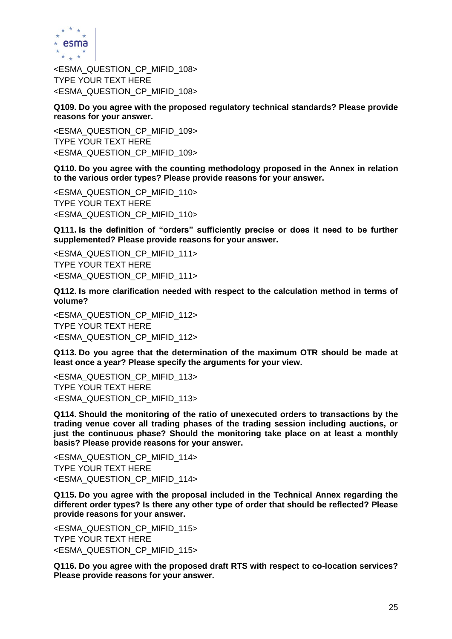

<ESMA\_QUESTION\_CP\_MIFID\_108> TYPE YOUR TEXT HERE <ESMA\_QUESTION\_CP\_MIFID\_108>

**Q109. Do you agree with the proposed regulatory technical standards? Please provide reasons for your answer.** 

<ESMA\_QUESTION\_CP\_MIFID\_109> TYPE YOUR TEXT HERE <ESMA\_QUESTION\_CP\_MIFID\_109>

**Q110. Do you agree with the counting methodology proposed in the Annex in relation to the various order types? Please provide reasons for your answer.**

<ESMA\_QUESTION\_CP\_MIFID\_110> TYPE YOUR TEXT HERE <ESMA\_QUESTION\_CP\_MIFID\_110>

**Q111. Is the definition of "orders" sufficiently precise or does it need to be further supplemented? Please provide reasons for your answer.**

<ESMA\_QUESTION\_CP\_MIFID\_111> TYPE YOUR TEXT HERE <ESMA\_QUESTION\_CP\_MIFID\_111>

**Q112. Is more clarification needed with respect to the calculation method in terms of volume?**

<ESMA\_QUESTION\_CP\_MIFID\_112> TYPE YOUR TEXT HERE <ESMA\_QUESTION\_CP\_MIFID\_112>

**Q113. Do you agree that the determination of the maximum OTR should be made at least once a year? Please specify the arguments for your view.** 

<ESMA\_QUESTION\_CP\_MIFID\_113> TYPE YOUR TEXT HERE <ESMA\_QUESTION\_CP\_MIFID\_113>

**Q114. Should the monitoring of the ratio of unexecuted orders to transactions by the trading venue cover all trading phases of the trading session including auctions, or just the continuous phase? Should the monitoring take place on at least a monthly basis? Please provide reasons for your answer.**

<ESMA\_QUESTION\_CP\_MIFID\_114> TYPE YOUR TEXT HERE <ESMA\_QUESTION\_CP\_MIFID\_114>

**Q115. Do you agree with the proposal included in the Technical Annex regarding the different order types? Is there any other type of order that should be reflected? Please provide reasons for your answer.**

<ESMA\_QUESTION\_CP\_MIFID\_115> TYPE YOUR TEXT HERE <ESMA\_QUESTION\_CP\_MIFID\_115>

**Q116. Do you agree with the proposed draft RTS with respect to co-location services? Please provide reasons for your answer.**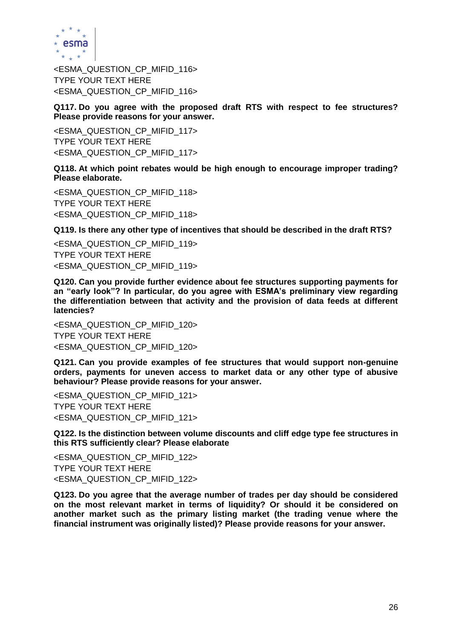

<ESMA\_QUESTION\_CP\_MIFID\_116> TYPE YOUR TEXT HERE <ESMA\_QUESTION\_CP\_MIFID\_116>

**Q117. Do you agree with the proposed draft RTS with respect to fee structures? Please provide reasons for your answer.**

<ESMA\_QUESTION\_CP\_MIFID\_117> TYPE YOUR TEXT HERE <ESMA\_QUESTION\_CP\_MIFID\_117>

**Q118. At which point rebates would be high enough to encourage improper trading? Please elaborate.**

<ESMA\_QUESTION\_CP\_MIFID\_118> TYPE YOUR TEXT HERE <ESMA\_QUESTION\_CP\_MIFID\_118>

**Q119. Is there any other type of incentives that should be described in the draft RTS?**

<ESMA\_QUESTION\_CP\_MIFID\_119> TYPE YOUR TEXT HERE <ESMA\_QUESTION\_CP\_MIFID\_119>

**Q120. Can you provide further evidence about fee structures supporting payments for an "early look"? In particular, do you agree with ESMA's preliminary view regarding the differentiation between that activity and the provision of data feeds at different latencies?**

<ESMA\_QUESTION\_CP\_MIFID\_120> TYPE YOUR TEXT HERE <ESMA\_QUESTION\_CP\_MIFID\_120>

**Q121. Can you provide examples of fee structures that would support non-genuine orders, payments for uneven access to market data or any other type of abusive behaviour? Please provide reasons for your answer.**

<ESMA\_QUESTION\_CP\_MIFID\_121> TYPE YOUR TEXT HERE <ESMA\_QUESTION\_CP\_MIFID\_121>

**Q122. Is the distinction between volume discounts and cliff edge type fee structures in this RTS sufficiently clear? Please elaborate**

<ESMA\_QUESTION\_CP\_MIFID\_122> TYPE YOUR TEXT HERE <ESMA\_QUESTION\_CP\_MIFID\_122>

**Q123. Do you agree that the average number of trades per day should be considered on the most relevant market in terms of liquidity? Or should it be considered on another market such as the primary listing market (the trading venue where the financial instrument was originally listed)? Please provide reasons for your answer.**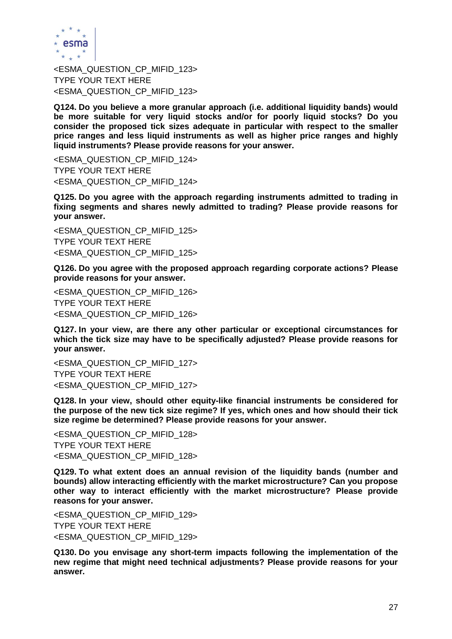

<ESMA\_QUESTION\_CP\_MIFID\_123> TYPE YOUR TEXT HERE <ESMA\_QUESTION\_CP\_MIFID\_123>

**Q124. Do you believe a more granular approach (i.e. additional liquidity bands) would be more suitable for very liquid stocks and/or for poorly liquid stocks? Do you consider the proposed tick sizes adequate in particular with respect to the smaller price ranges and less liquid instruments as well as higher price ranges and highly liquid instruments? Please provide reasons for your answer.** 

<ESMA\_QUESTION\_CP\_MIFID\_124> TYPE YOUR TEXT HERE <ESMA\_QUESTION\_CP\_MIFID\_124>

**Q125. Do you agree with the approach regarding instruments admitted to trading in fixing segments and shares newly admitted to trading? Please provide reasons for your answer.**

<ESMA\_QUESTION\_CP\_MIFID\_125> TYPE YOUR TEXT HERE <ESMA\_QUESTION\_CP\_MIFID\_125>

**Q126. Do you agree with the proposed approach regarding corporate actions? Please provide reasons for your answer.**

<ESMA\_QUESTION\_CP\_MIFID\_126> TYPE YOUR TEXT HERE <ESMA\_QUESTION\_CP\_MIFID\_126>

**Q127. In your view, are there any other particular or exceptional circumstances for which the tick size may have to be specifically adjusted? Please provide reasons for your answer.**

<ESMA\_QUESTION\_CP\_MIFID\_127> TYPE YOUR TEXT HERE <ESMA\_QUESTION\_CP\_MIFID\_127>

**Q128. In your view, should other equity-like financial instruments be considered for the purpose of the new tick size regime? If yes, which ones and how should their tick size regime be determined? Please provide reasons for your answer.**

<ESMA\_QUESTION\_CP\_MIFID\_128> TYPE YOUR TEXT HERE <ESMA\_QUESTION\_CP\_MIFID\_128>

**Q129. To what extent does an annual revision of the liquidity bands (number and bounds) allow interacting efficiently with the market microstructure? Can you propose other way to interact efficiently with the market microstructure? Please provide reasons for your answer.**

<ESMA\_QUESTION\_CP\_MIFID\_129> TYPE YOUR TEXT HERE <ESMA\_QUESTION\_CP\_MIFID\_129>

**Q130. Do you envisage any short-term impacts following the implementation of the new regime that might need technical adjustments? Please provide reasons for your answer.**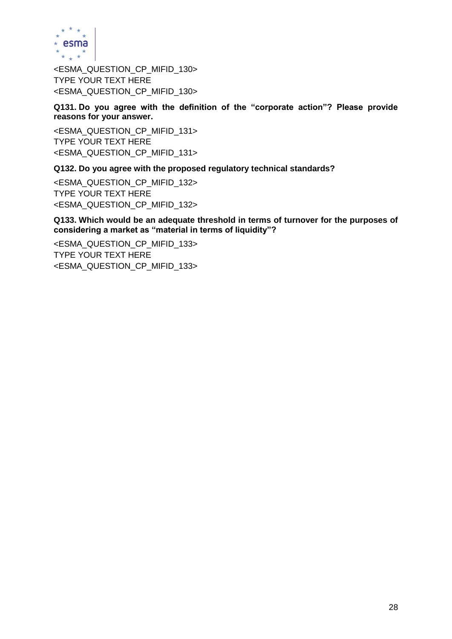

<ESMA\_QUESTION\_CP\_MIFID\_130> TYPE YOUR TEXT HERE <ESMA\_QUESTION\_CP\_MIFID\_130>

**Q131. Do you agree with the definition of the "corporate action"? Please provide reasons for your answer.**

<ESMA\_QUESTION\_CP\_MIFID\_131> TYPE YOUR TEXT HERE <ESMA\_QUESTION\_CP\_MIFID\_131>

**Q132. Do you agree with the proposed regulatory technical standards?**

<ESMA\_QUESTION\_CP\_MIFID\_132> TYPE YOUR TEXT HERE <ESMA\_QUESTION\_CP\_MIFID\_132>

**Q133. Which would be an adequate threshold in terms of turnover for the purposes of considering a market as "material in terms of liquidity"?**

<ESMA\_QUESTION\_CP\_MIFID\_133> TYPE YOUR TEXT HERE <ESMA\_QUESTION\_CP\_MIFID\_133>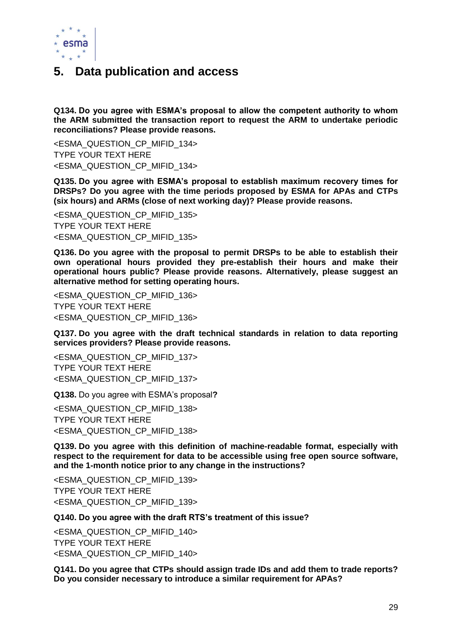

### **5. Data publication and access**

**Q134. Do you agree with ESMA's proposal to allow the competent authority to whom the ARM submitted the transaction report to request the ARM to undertake periodic reconciliations? Please provide reasons.** 

<ESMA\_QUESTION\_CP\_MIFID\_134> TYPE YOUR TEXT HERE <ESMA\_QUESTION\_CP\_MIFID\_134>

**Q135. Do you agree with ESMA's proposal to establish maximum recovery times for DRSPs? Do you agree with the time periods proposed by ESMA for APAs and CTPs (six hours) and ARMs (close of next working day)? Please provide reasons.**

<ESMA\_QUESTION\_CP\_MIFID\_135> TYPE YOUR TEXT HERE <ESMA\_QUESTION\_CP\_MIFID\_135>

**Q136. Do you agree with the proposal to permit DRSPs to be able to establish their own operational hours provided they pre-establish their hours and make their operational hours public? Please provide reasons. Alternatively, please suggest an alternative method for setting operating hours.** 

<ESMA\_QUESTION\_CP\_MIFID\_136> TYPE YOUR TEXT HERE <ESMA\_QUESTION\_CP\_MIFID\_136>

**Q137. Do you agree with the draft technical standards in relation to data reporting services providers? Please provide reasons.** 

<ESMA\_QUESTION\_CP\_MIFID\_137> TYPE YOUR TEXT HERE <ESMA\_QUESTION\_CP\_MIFID\_137>

**Q138.** Do you agree with ESMA's proposal**?**

<ESMA\_QUESTION\_CP\_MIFID\_138> TYPE YOUR TEXT HERE <ESMA\_QUESTION\_CP\_MIFID\_138>

**Q139. Do you agree with this definition of machine-readable format, especially with respect to the requirement for data to be accessible using free open source software, and the 1-month notice prior to any change in the instructions?** 

<ESMA\_QUESTION\_CP\_MIFID\_139> TYPE YOUR TEXT HERE <ESMA\_QUESTION\_CP\_MIFID\_139>

#### **Q140. Do you agree with the draft RTS's treatment of this issue?**

<ESMA\_QUESTION\_CP\_MIFID\_140> TYPE YOUR TEXT HERE <ESMA\_QUESTION\_CP\_MIFID\_140>

**Q141. Do you agree that CTPs should assign trade IDs and add them to trade reports? Do you consider necessary to introduce a similar requirement for APAs?**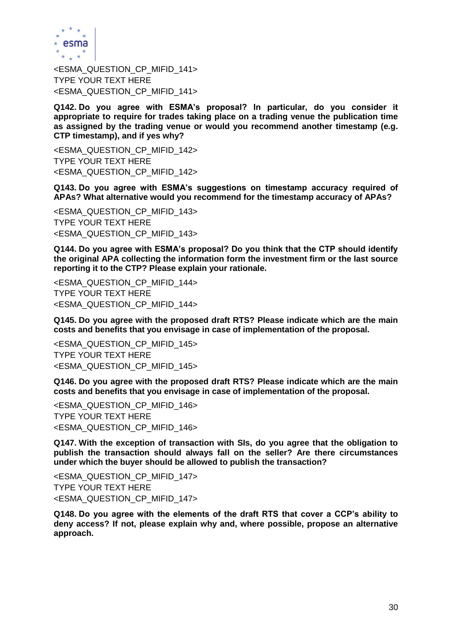

<ESMA\_QUESTION\_CP\_MIFID\_141> TYPE YOUR TEXT HERE <ESMA\_QUESTION\_CP\_MIFID\_141>

**Q142. Do you agree with ESMA's proposal? In particular, do you consider it appropriate to require for trades taking place on a trading venue the publication time as assigned by the trading venue or would you recommend another timestamp (e.g. CTP timestamp), and if yes why?**

<ESMA\_QUESTION\_CP\_MIFID\_142> TYPE YOUR TEXT HERE <ESMA\_QUESTION\_CP\_MIFID\_142>

**Q143. Do you agree with ESMA's suggestions on timestamp accuracy required of APAs? What alternative would you recommend for the timestamp accuracy of APAs?**

<ESMA\_QUESTION\_CP\_MIFID\_143> TYPE YOUR TEXT HERE <ESMA\_QUESTION\_CP\_MIFID\_143>

**Q144. Do you agree with ESMA's proposal? Do you think that the CTP should identify the original APA collecting the information form the investment firm or the last source reporting it to the CTP? Please explain your rationale.**

<ESMA\_QUESTION\_CP\_MIFID\_144> TYPE YOUR TEXT HERE <ESMA\_QUESTION\_CP\_MIFID\_144>

**Q145. Do you agree with the proposed draft RTS? Please indicate which are the main costs and benefits that you envisage in case of implementation of the proposal.**

<ESMA\_QUESTION\_CP\_MIFID\_145> TYPE YOUR TEXT HERE <ESMA\_QUESTION\_CP\_MIFID\_145>

**Q146. Do you agree with the proposed draft RTS? Please indicate which are the main costs and benefits that you envisage in case of implementation of the proposal.**

<ESMA\_QUESTION\_CP\_MIFID\_146> TYPE YOUR TEXT HERE <ESMA\_QUESTION\_CP\_MIFID\_146>

**Q147. With the exception of transaction with SIs, do you agree that the obligation to publish the transaction should always fall on the seller? Are there circumstances under which the buyer should be allowed to publish the transaction?**

<ESMA\_QUESTION\_CP\_MIFID\_147> TYPE YOUR TEXT HERE <ESMA\_QUESTION\_CP\_MIFID\_147>

**Q148. Do you agree with the elements of the draft RTS that cover a CCP's ability to deny access? If not, please explain why and, where possible, propose an alternative approach.**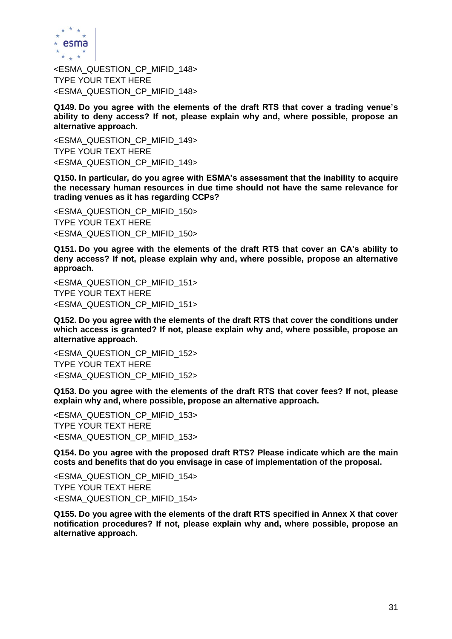

<ESMA\_QUESTION\_CP\_MIFID\_148> TYPE YOUR TEXT HERE <ESMA\_QUESTION\_CP\_MIFID\_148>

**Q149. Do you agree with the elements of the draft RTS that cover a trading venue's ability to deny access? If not, please explain why and, where possible, propose an alternative approach.** 

<ESMA\_QUESTION\_CP\_MIFID\_149> TYPE YOUR TEXT HERE <ESMA\_QUESTION\_CP\_MIFID\_149>

**Q150. In particular, do you agree with ESMA's assessment that the inability to acquire the necessary human resources in due time should not have the same relevance for trading venues as it has regarding CCPs?**

<ESMA\_QUESTION\_CP\_MIFID\_150> TYPE YOUR TEXT HERE <ESMA\_QUESTION\_CP\_MIFID\_150>

**Q151. Do you agree with the elements of the draft RTS that cover an CA's ability to deny access? If not, please explain why and, where possible, propose an alternative approach.**

<ESMA\_QUESTION\_CP\_MIFID\_151> TYPE YOUR TEXT HERE <ESMA\_QUESTION\_CP\_MIFID\_151>

**Q152. Do you agree with the elements of the draft RTS that cover the conditions under which access is granted? If not, please explain why and, where possible, propose an alternative approach.** 

<ESMA\_QUESTION\_CP\_MIFID\_152> TYPE YOUR TEXT HERE <ESMA\_QUESTION\_CP\_MIFID\_152>

**Q153. Do you agree with the elements of the draft RTS that cover fees? If not, please explain why and, where possible, propose an alternative approach.**

<ESMA\_QUESTION\_CP\_MIFID\_153> TYPE YOUR TEXT HERE <ESMA\_QUESTION\_CP\_MIFID\_153>

**Q154. Do you agree with the proposed draft RTS? Please indicate which are the main costs and benefits that do you envisage in case of implementation of the proposal.**

<ESMA\_QUESTION\_CP\_MIFID\_154> TYPE YOUR TEXT HERE <ESMA\_QUESTION\_CP\_MIFID\_154>

**Q155. Do you agree with the elements of the draft RTS specified in Annex X that cover notification procedures? If not, please explain why and, where possible, propose an alternative approach.**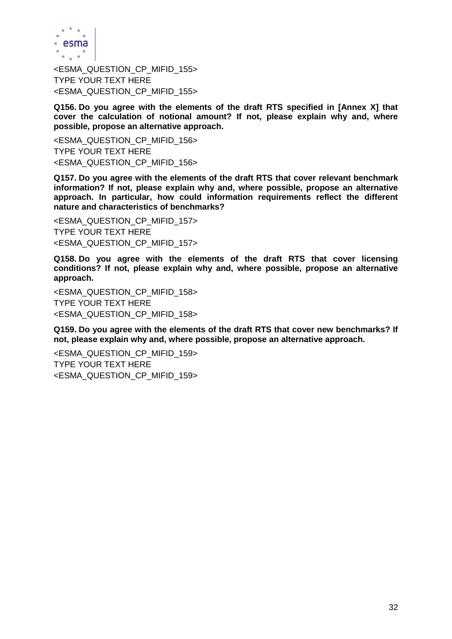

<ESMA\_QUESTION\_CP\_MIFID\_155> TYPE YOUR TEXT HERE <ESMA\_QUESTION\_CP\_MIFID\_155>

**Q156. Do you agree with the elements of the draft RTS specified in [Annex X] that cover the calculation of notional amount? If not, please explain why and, where possible, propose an alternative approach.**

<ESMA\_QUESTION\_CP\_MIFID\_156> TYPE YOUR TEXT HERE <ESMA\_QUESTION\_CP\_MIFID\_156>

**Q157. Do you agree with the elements of the draft RTS that cover relevant benchmark information? If not, please explain why and, where possible, propose an alternative approach. In particular, how could information requirements reflect the different nature and characteristics of benchmarks?**

<ESMA\_QUESTION\_CP\_MIFID\_157> TYPE YOUR TEXT HERE <ESMA\_QUESTION\_CP\_MIFID\_157>

**Q158. Do you agree with the elements of the draft RTS that cover licensing conditions? If not, please explain why and, where possible, propose an alternative approach.**

<ESMA\_QUESTION\_CP\_MIFID\_158> TYPE YOUR TEXT HERE <ESMA\_QUESTION\_CP\_MIFID\_158>

**Q159. Do you agree with the elements of the draft RTS that cover new benchmarks? If not, please explain why and, where possible, propose an alternative approach.**

<ESMA\_QUESTION\_CP\_MIFID\_159> TYPE YOUR TEXT HERE <ESMA\_QUESTION\_CP\_MIFID\_159>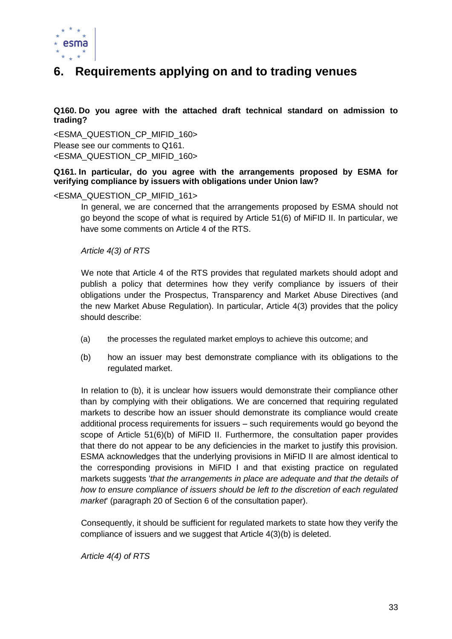

## **6. Requirements applying on and to trading venues**

**Q160. Do you agree with the attached draft technical standard on admission to trading?**

<ESMA\_QUESTION\_CP\_MIFID\_160> Please see our comments to Q161. <ESMA\_QUESTION\_CP\_MIFID\_160>

### **Q161. In particular, do you agree with the arrangements proposed by ESMA for verifying compliance by issuers with obligations under Union law?**

#### <ESMA\_QUESTION\_CP\_MIFID\_161>

In general, we are concerned that the arrangements proposed by ESMA should not go beyond the scope of what is required by Article 51(6) of MiFID II. In particular, we have some comments on Article 4 of the RTS.

#### *Article 4(3) of RTS*

We note that Article 4 of the RTS provides that regulated markets should adopt and publish a policy that determines how they verify compliance by issuers of their obligations under the Prospectus, Transparency and Market Abuse Directives (and the new Market Abuse Regulation). In particular, Article 4(3) provides that the policy should describe:

- (a) the processes the regulated market employs to achieve this outcome; and
- (b) how an issuer may best demonstrate compliance with its obligations to the regulated market.

In relation to (b), it is unclear how issuers would demonstrate their compliance other than by complying with their obligations. We are concerned that requiring regulated markets to describe how an issuer should demonstrate its compliance would create additional process requirements for issuers – such requirements would go beyond the scope of Article 51(6)(b) of MiFID II. Furthermore, the consultation paper provides that there do not appear to be any deficiencies in the market to justify this provision. ESMA acknowledges that the underlying provisions in MiFID II are almost identical to the corresponding provisions in MiFID I and that existing practice on regulated markets suggests '*that the arrangements in place are adequate and that the details of how to ensure compliance of issuers should be left to the discretion of each regulated market*' (paragraph 20 of Section 6 of the consultation paper).

Consequently, it should be sufficient for regulated markets to state how they verify the compliance of issuers and we suggest that Article 4(3)(b) is deleted.

*Article 4(4) of RTS*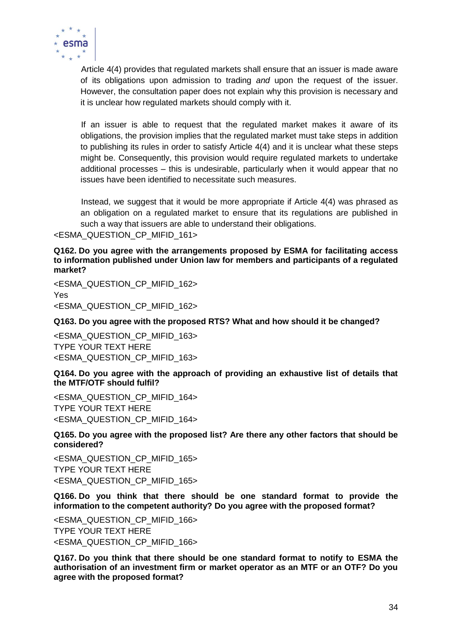

Article 4(4) provides that regulated markets shall ensure that an issuer is made aware of its obligations upon admission to trading *and* upon the request of the issuer. However, the consultation paper does not explain why this provision is necessary and it is unclear how regulated markets should comply with it.

If an issuer is able to request that the regulated market makes it aware of its obligations, the provision implies that the regulated market must take steps in addition to publishing its rules in order to satisfy Article 4(4) and it is unclear what these steps might be. Consequently, this provision would require regulated markets to undertake additional processes – this is undesirable, particularly when it would appear that no issues have been identified to necessitate such measures.

Instead, we suggest that it would be more appropriate if Article 4(4) was phrased as an obligation on a regulated market to ensure that its regulations are published in such a way that issuers are able to understand their obligations.

<ESMA\_QUESTION\_CP\_MIFID\_161>

**Q162. Do you agree with the arrangements proposed by ESMA for facilitating access to information published under Union law for members and participants of a regulated market?**

<ESMA\_QUESTION\_CP\_MIFID\_162> Yes <ESMA\_QUESTION\_CP\_MIFID\_162>

### **Q163. Do you agree with the proposed RTS? What and how should it be changed?**

<ESMA\_QUESTION\_CP\_MIFID\_163> TYPE YOUR TEXT HERE <ESMA\_QUESTION\_CP\_MIFID\_163>

**Q164. Do you agree with the approach of providing an exhaustive list of details that the MTF/OTF should fulfil?**

<ESMA\_QUESTION\_CP\_MIFID\_164> TYPE YOUR TEXT HERE <ESMA\_QUESTION\_CP\_MIFID\_164>

**Q165. Do you agree with the proposed list? Are there any other factors that should be considered?**

<ESMA\_QUESTION\_CP\_MIFID\_165> TYPE YOUR TEXT HERE <ESMA\_QUESTION\_CP\_MIFID\_165>

**Q166. Do you think that there should be one standard format to provide the information to the competent authority? Do you agree with the proposed format?** 

<ESMA\_QUESTION\_CP\_MIFID\_166> TYPE YOUR TEXT HERE <ESMA\_QUESTION\_CP\_MIFID\_166>

**Q167. Do you think that there should be one standard format to notify to ESMA the authorisation of an investment firm or market operator as an MTF or an OTF? Do you agree with the proposed format?**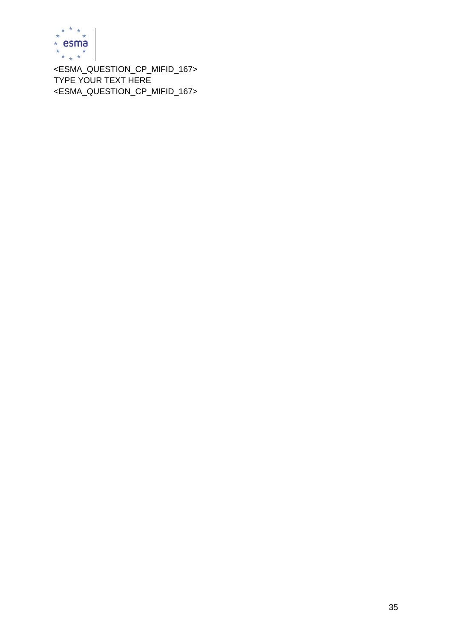

<ESMA\_QUESTION\_CP\_MIFID\_167> TYPE YOUR TEXT HERE <ESMA\_QUESTION\_CP\_MIFID\_167>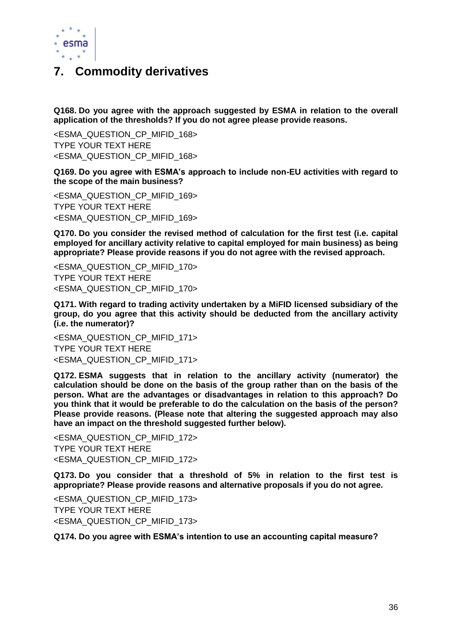

### **7. Commodity derivatives**

**Q168. Do you agree with the approach suggested by ESMA in relation to the overall application of the thresholds? If you do not agree please provide reasons.** 

<ESMA\_QUESTION\_CP\_MIFID\_168> TYPE YOUR TEXT HERE <ESMA\_QUESTION\_CP\_MIFID\_168>

**Q169. Do you agree with ESMA's approach to include non-EU activities with regard to the scope of the main business?** 

<ESMA\_QUESTION\_CP\_MIFID\_169> TYPE YOUR TEXT HERE <ESMA\_QUESTION\_CP\_MIFID\_169>

**Q170. Do you consider the revised method of calculation for the first test (i.e. capital employed for ancillary activity relative to capital employed for main business) as being appropriate? Please provide reasons if you do not agree with the revised approach.**

<ESMA\_QUESTION\_CP\_MIFID\_170> TYPE YOUR TEXT HERE <ESMA\_QUESTION\_CP\_MIFID\_170>

**Q171. With regard to trading activity undertaken by a MiFID licensed subsidiary of the group, do you agree that this activity should be deducted from the ancillary activity (i.e. the numerator)?** 

<ESMA\_QUESTION\_CP\_MIFID\_171> TYPE YOUR TEXT HERE <ESMA\_QUESTION\_CP\_MIFID\_171>

**Q172. ESMA suggests that in relation to the ancillary activity (numerator) the calculation should be done on the basis of the group rather than on the basis of the person. What are the advantages or disadvantages in relation to this approach? Do you think that it would be preferable to do the calculation on the basis of the person? Please provide reasons. (Please note that altering the suggested approach may also have an impact on the threshold suggested further below).** 

<ESMA\_QUESTION\_CP\_MIFID\_172> TYPE YOUR TEXT HERE <ESMA\_QUESTION\_CP\_MIFID\_172>

**Q173. Do you consider that a threshold of 5% in relation to the first test is appropriate? Please provide reasons and alternative proposals if you do not agree.** 

<ESMA\_QUESTION\_CP\_MIFID\_173> TYPE YOUR TEXT HERE <ESMA\_QUESTION\_CP\_MIFID\_173>

**Q174. Do you agree with ESMA's intention to use an accounting capital measure?**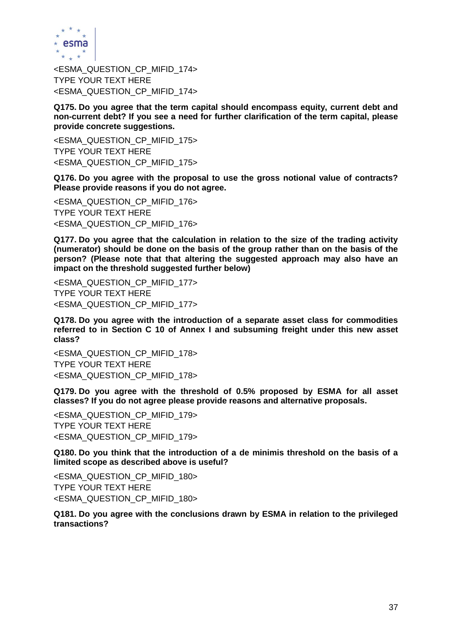

<ESMA\_QUESTION\_CP\_MIFID\_174> TYPE YOUR TEXT HERE <ESMA\_QUESTION\_CP\_MIFID\_174>

**Q175. Do you agree that the term capital should encompass equity, current debt and non-current debt? If you see a need for further clarification of the term capital, please provide concrete suggestions.** 

<ESMA\_QUESTION\_CP\_MIFID\_175> TYPE YOUR TEXT HERE <ESMA\_QUESTION\_CP\_MIFID\_175>

**Q176. Do you agree with the proposal to use the gross notional value of contracts? Please provide reasons if you do not agree.**

<ESMA\_QUESTION\_CP\_MIFID\_176> TYPE YOUR TEXT HERE <ESMA\_QUESTION\_CP\_MIFID\_176>

**Q177. Do you agree that the calculation in relation to the size of the trading activity (numerator) should be done on the basis of the group rather than on the basis of the person? (Please note that that altering the suggested approach may also have an impact on the threshold suggested further below)** 

<ESMA\_QUESTION\_CP\_MIFID\_177> TYPE YOUR TEXT HERE <ESMA\_QUESTION\_CP\_MIFID\_177>

**Q178. Do you agree with the introduction of a separate asset class for commodities referred to in Section C 10 of Annex I and subsuming freight under this new asset class?** 

<ESMA\_QUESTION\_CP\_MIFID\_178> TYPE YOUR TEXT HERE <ESMA\_QUESTION\_CP\_MIFID\_178>

**Q179. Do you agree with the threshold of 0.5% proposed by ESMA for all asset classes? If you do not agree please provide reasons and alternative proposals.** 

<ESMA\_QUESTION\_CP\_MIFID\_179> TYPE YOUR TEXT HERE <ESMA\_QUESTION\_CP\_MIFID\_179>

**Q180. Do you think that the introduction of a de minimis threshold on the basis of a limited scope as described above is useful?** 

<ESMA\_QUESTION\_CP\_MIFID\_180> TYPE YOUR TEXT HERE <ESMA\_QUESTION\_CP\_MIFID\_180>

**Q181. Do you agree with the conclusions drawn by ESMA in relation to the privileged transactions?**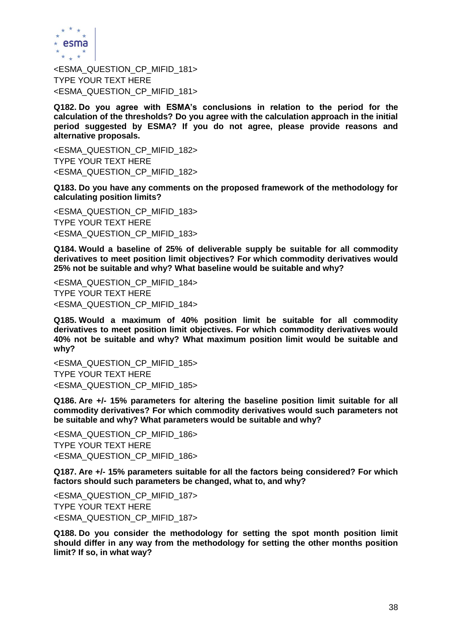

<ESMA\_QUESTION\_CP\_MIFID\_181> TYPE YOUR TEXT HERE <ESMA\_QUESTION\_CP\_MIFID\_181>

**Q182. Do you agree with ESMA's conclusions in relation to the period for the calculation of the thresholds? Do you agree with the calculation approach in the initial period suggested by ESMA? If you do not agree, please provide reasons and alternative proposals.** 

<ESMA\_QUESTION\_CP\_MIFID\_182> TYPE YOUR TEXT HERE <ESMA\_QUESTION\_CP\_MIFID\_182>

**Q183. Do you have any comments on the proposed framework of the methodology for calculating position limits?**

<ESMA\_QUESTION\_CP\_MIFID\_183> TYPE YOUR TEXT HERE <ESMA\_QUESTION\_CP\_MIFID\_183>

**Q184. Would a baseline of 25% of deliverable supply be suitable for all commodity derivatives to meet position limit objectives? For which commodity derivatives would 25% not be suitable and why? What baseline would be suitable and why?**

<ESMA\_QUESTION\_CP\_MIFID\_184> TYPE YOUR TEXT HERE <ESMA\_QUESTION\_CP\_MIFID\_184>

**Q185. Would a maximum of 40% position limit be suitable for all commodity derivatives to meet position limit objectives. For which commodity derivatives would 40% not be suitable and why? What maximum position limit would be suitable and why?**

<ESMA\_QUESTION\_CP\_MIFID\_185> TYPE YOUR TEXT HERE <ESMA\_QUESTION\_CP\_MIFID\_185>

**Q186. Are +/- 15% parameters for altering the baseline position limit suitable for all commodity derivatives? For which commodity derivatives would such parameters not be suitable and why? What parameters would be suitable and why?**

<ESMA\_QUESTION\_CP\_MIFID\_186> TYPE YOUR TEXT HERE <ESMA\_QUESTION\_CP\_MIFID\_186>

**Q187. Are +/- 15% parameters suitable for all the factors being considered? For which factors should such parameters be changed, what to, and why?**

<ESMA\_QUESTION\_CP\_MIFID\_187> TYPE YOUR TEXT HERE <ESMA\_QUESTION\_CP\_MIFID\_187>

**Q188. Do you consider the methodology for setting the spot month position limit should differ in any way from the methodology for setting the other months position limit? If so, in what way?**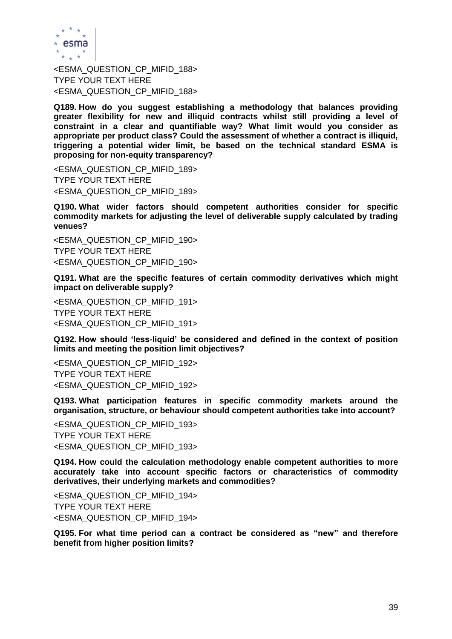

<ESMA\_QUESTION\_CP\_MIFID\_188> TYPE YOUR TEXT HERE <ESMA\_QUESTION\_CP\_MIFID\_188>

**Q189. How do you suggest establishing a methodology that balances providing greater flexibility for new and illiquid contracts whilst still providing a level of constraint in a clear and quantifiable way? What limit would you consider as appropriate per product class? Could the assessment of whether a contract is illiquid, triggering a potential wider limit, be based on the technical standard ESMA is proposing for non-equity transparency?**

<ESMA\_QUESTION\_CP\_MIFID\_189> TYPE YOUR TEXT HERE <ESMA\_QUESTION\_CP\_MIFID\_189>

**Q190. What wider factors should competent authorities consider for specific commodity markets for adjusting the level of deliverable supply calculated by trading venues?**

<ESMA\_QUESTION\_CP\_MIFID\_190> TYPE YOUR TEXT HERE <ESMA\_QUESTION\_CP\_MIFID\_190>

**Q191. What are the specific features of certain commodity derivatives which might impact on deliverable supply?**

<ESMA\_QUESTION\_CP\_MIFID\_191> TYPE YOUR TEXT HERE <ESMA\_QUESTION\_CP\_MIFID\_191>

**Q192. How should 'less-liquid' be considered and defined in the context of position limits and meeting the position limit objectives?**

<ESMA\_QUESTION\_CP\_MIFID\_192> TYPE YOUR TEXT HERE <ESMA\_QUESTION\_CP\_MIFID\_192>

**Q193. What participation features in specific commodity markets around the organisation, structure, or behaviour should competent authorities take into account?** 

<ESMA\_QUESTION\_CP\_MIFID\_193> TYPE YOUR TEXT HERE <ESMA\_QUESTION\_CP\_MIFID\_193>

**Q194. How could the calculation methodology enable competent authorities to more accurately take into account specific factors or characteristics of commodity derivatives, their underlying markets and commodities?**

<ESMA\_QUESTION\_CP\_MIFID\_194> TYPE YOUR TEXT HERE <ESMA\_QUESTION\_CP\_MIFID\_194>

**Q195. For what time period can a contract be considered as "new" and therefore benefit from higher position limits?**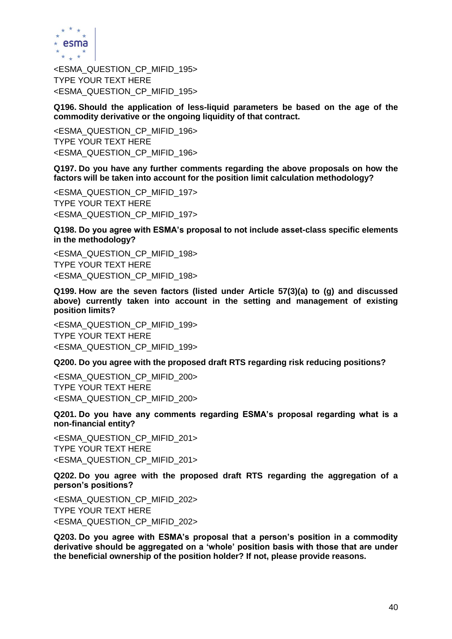

<ESMA\_QUESTION\_CP\_MIFID\_195> TYPE YOUR TEXT HERE <ESMA\_QUESTION\_CP\_MIFID\_195>

**Q196. Should the application of less-liquid parameters be based on the age of the commodity derivative or the ongoing liquidity of that contract.**

<ESMA\_QUESTION\_CP\_MIFID\_196> TYPE YOUR TEXT HERE <ESMA\_QUESTION\_CP\_MIFID\_196>

**Q197. Do you have any further comments regarding the above proposals on how the factors will be taken into account for the position limit calculation methodology?** 

<ESMA\_QUESTION\_CP\_MIFID\_197> TYPE YOUR TEXT HERE <ESMA\_QUESTION\_CP\_MIFID\_197>

**Q198. Do you agree with ESMA's proposal to not include asset-class specific elements in the methodology?**

<ESMA\_QUESTION\_CP\_MIFID\_198> TYPE YOUR TEXT HERE <ESMA\_QUESTION\_CP\_MIFID\_198>

**Q199. How are the seven factors (listed under Article 57(3)(a) to (g) and discussed above) currently taken into account in the setting and management of existing position limits?**

<ESMA\_QUESTION\_CP\_MIFID\_199> TYPE YOUR TEXT HERE <ESMA\_QUESTION\_CP\_MIFID\_199>

**Q200. Do you agree with the proposed draft RTS regarding risk reducing positions?**

<ESMA\_QUESTION\_CP\_MIFID\_200> TYPE YOUR TEXT HERE <ESMA\_QUESTION\_CP\_MIFID\_200>

**Q201. Do you have any comments regarding ESMA's proposal regarding what is a non-financial entity?** 

<ESMA\_QUESTION\_CP\_MIFID\_201> TYPE YOUR TEXT HERE <ESMA\_QUESTION\_CP\_MIFID\_201>

**Q202. Do you agree with the proposed draft RTS regarding the aggregation of a person's positions?**

<ESMA\_QUESTION\_CP\_MIFID\_202> TYPE YOUR TEXT HERE <ESMA\_QUESTION\_CP\_MIFID\_202>

**Q203. Do you agree with ESMA's proposal that a person's position in a commodity derivative should be aggregated on a 'whole' position basis with those that are under the beneficial ownership of the position holder? If not, please provide reasons.**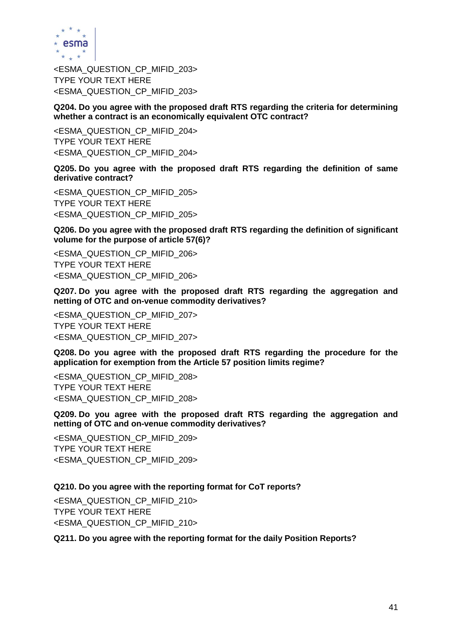

<ESMA\_QUESTION\_CP\_MIFID\_203> TYPE YOUR TEXT HERE <ESMA\_QUESTION\_CP\_MIFID\_203>

**Q204. Do you agree with the proposed draft RTS regarding the criteria for determining whether a contract is an economically equivalent OTC contract?**

<ESMA\_QUESTION\_CP\_MIFID\_204> TYPE YOUR TEXT HERE <ESMA\_QUESTION\_CP\_MIFID\_204>

**Q205. Do you agree with the proposed draft RTS regarding the definition of same derivative contract?**

<ESMA\_QUESTION\_CP\_MIFID\_205> TYPE YOUR TEXT HERE <ESMA\_QUESTION\_CP\_MIFID\_205>

**Q206. Do you agree with the proposed draft RTS regarding the definition of significant volume for the purpose of article 57(6)?**

<ESMA\_QUESTION\_CP\_MIFID\_206> TYPE YOUR TEXT HERE <ESMA\_QUESTION\_CP\_MIFID\_206>

**Q207. Do you agree with the proposed draft RTS regarding the aggregation and netting of OTC and on-venue commodity derivatives?**

<ESMA\_QUESTION\_CP\_MIFID\_207> TYPE YOUR TEXT HERE <ESMA\_QUESTION\_CP\_MIFID\_207>

**Q208. Do you agree with the proposed draft RTS regarding the procedure for the application for exemption from the Article 57 position limits regime?**

<ESMA\_QUESTION\_CP\_MIFID\_208> TYPE YOUR TEXT HERE <ESMA\_QUESTION\_CP\_MIFID\_208>

**Q209. Do you agree with the proposed draft RTS regarding the aggregation and netting of OTC and on-venue commodity derivatives?**

<ESMA\_QUESTION\_CP\_MIFID\_209> TYPE YOUR TEXT HERE <ESMA\_QUESTION\_CP\_MIFID\_209>

**Q210. Do you agree with the reporting format for CoT reports?**

<ESMA\_QUESTION\_CP\_MIFID\_210> TYPE YOUR TEXT HERE <ESMA\_QUESTION\_CP\_MIFID\_210>

#### **Q211. Do you agree with the reporting format for the daily Position Reports?**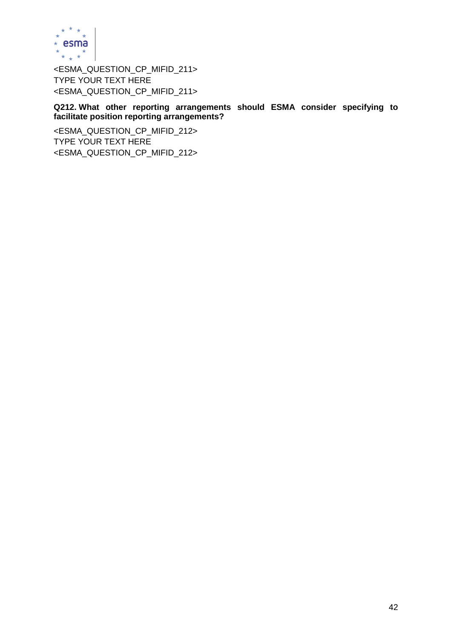

<ESMA\_QUESTION\_CP\_MIFID\_211> TYPE YOUR TEXT HERE <ESMA\_QUESTION\_CP\_MIFID\_211>

**Q212. What other reporting arrangements should ESMA consider specifying to facilitate position reporting arrangements?**

<ESMA\_QUESTION\_CP\_MIFID\_212> TYPE YOUR TEXT HERE <ESMA\_QUESTION\_CP\_MIFID\_212>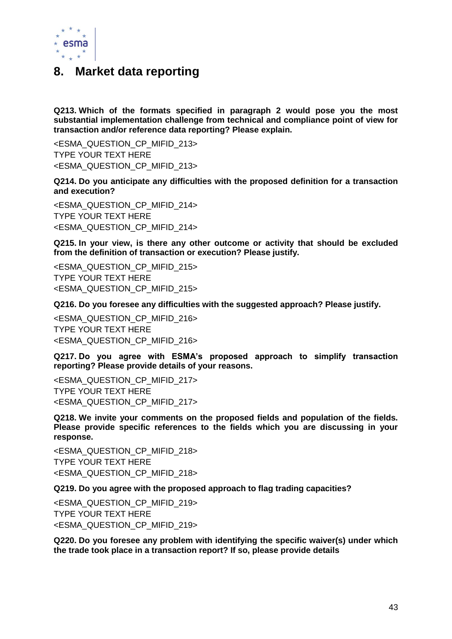

### **8. Market data reporting**

**Q213. Which of the formats specified in paragraph 2 would pose you the most substantial implementation challenge from technical and compliance point of view for transaction and/or reference data reporting? Please explain.**

<ESMA\_QUESTION\_CP\_MIFID\_213> TYPE YOUR TEXT HERE <ESMA\_QUESTION\_CP\_MIFID\_213>

**Q214. Do you anticipate any difficulties with the proposed definition for a transaction and execution?**

<ESMA\_QUESTION\_CP\_MIFID\_214> TYPE YOUR TEXT HERE <ESMA\_QUESTION\_CP\_MIFID\_214>

**Q215. In your view, is there any other outcome or activity that should be excluded from the definition of transaction or execution? Please justify.**

<ESMA\_QUESTION\_CP\_MIFID\_215> TYPE YOUR TEXT HERE <ESMA\_QUESTION\_CP\_MIFID\_215>

**Q216. Do you foresee any difficulties with the suggested approach? Please justify.**

<ESMA\_QUESTION\_CP\_MIFID\_216> TYPE YOUR TEXT HERE <ESMA\_QUESTION\_CP\_MIFID\_216>

**Q217. Do you agree with ESMA's proposed approach to simplify transaction reporting? Please provide details of your reasons.** 

<ESMA\_QUESTION\_CP\_MIFID\_217> TYPE YOUR TEXT HERE <ESMA\_QUESTION\_CP\_MIFID\_217>

**Q218. We invite your comments on the proposed fields and population of the fields. Please provide specific references to the fields which you are discussing in your response.**

<ESMA\_QUESTION\_CP\_MIFID\_218> TYPE YOUR TEXT HERE <ESMA\_QUESTION\_CP\_MIFID\_218>

**Q219. Do you agree with the proposed approach to flag trading capacities?**

<ESMA\_QUESTION\_CP\_MIFID\_219> TYPE YOUR TEXT HERE <ESMA\_QUESTION\_CP\_MIFID\_219>

**Q220. Do you foresee any problem with identifying the specific waiver(s) under which the trade took place in a transaction report? If so, please provide details**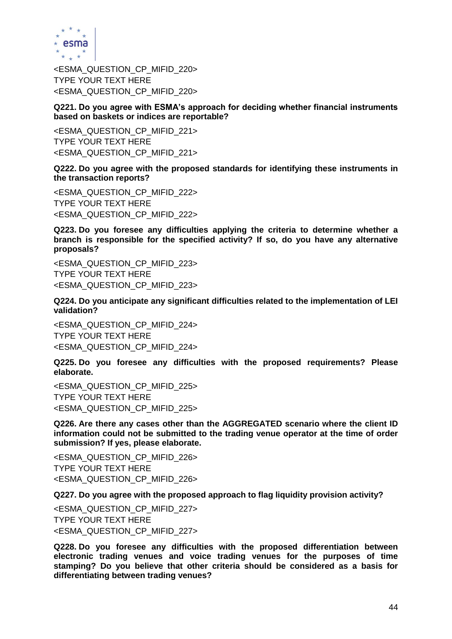

<ESMA\_QUESTION\_CP\_MIFID\_220> TYPE YOUR TEXT HERE <ESMA\_QUESTION\_CP\_MIFID\_220>

**Q221. Do you agree with ESMA's approach for deciding whether financial instruments based on baskets or indices are reportable?**

<ESMA\_QUESTION\_CP\_MIFID\_221> TYPE YOUR TEXT HERE <ESMA\_QUESTION\_CP\_MIFID\_221>

**Q222. Do you agree with the proposed standards for identifying these instruments in the transaction reports?**

<ESMA\_QUESTION\_CP\_MIFID\_222> TYPE YOUR TEXT HERE <ESMA\_QUESTION\_CP\_MIFID\_222>

**Q223. Do you foresee any difficulties applying the criteria to determine whether a branch is responsible for the specified activity? If so, do you have any alternative proposals?**

<ESMA\_QUESTION\_CP\_MIFID\_223> TYPE YOUR TEXT HERE <ESMA\_QUESTION\_CP\_MIFID\_223>

**Q224. Do you anticipate any significant difficulties related to the implementation of LEI validation?**

<ESMA\_QUESTION\_CP\_MIFID\_224> TYPE YOUR TEXT HERE <ESMA\_QUESTION\_CP\_MIFID\_224>

**Q225. Do you foresee any difficulties with the proposed requirements? Please elaborate.**

<ESMA\_QUESTION\_CP\_MIFID\_225> TYPE YOUR TEXT HERE <ESMA\_QUESTION\_CP\_MIFID\_225>

**Q226. Are there any cases other than the AGGREGATED scenario where the client ID information could not be submitted to the trading venue operator at the time of order submission? If yes, please elaborate.**

<ESMA\_QUESTION\_CP\_MIFID\_226> TYPE YOUR TEXT HERE <ESMA\_QUESTION\_CP\_MIFID\_226>

**Q227. Do you agree with the proposed approach to flag liquidity provision activity?** 

<ESMA\_QUESTION\_CP\_MIFID\_227> TYPE YOUR TEXT HERE <ESMA\_QUESTION\_CP\_MIFID\_227>

**Q228. Do you foresee any difficulties with the proposed differentiation between electronic trading venues and voice trading venues for the purposes of time stamping? Do you believe that other criteria should be considered as a basis for differentiating between trading venues?**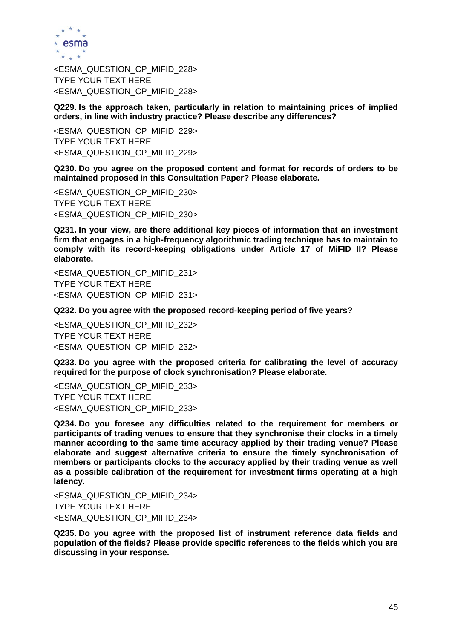

<ESMA\_QUESTION\_CP\_MIFID\_228> TYPE YOUR TEXT HERE <ESMA\_QUESTION\_CP\_MIFID\_228>

**Q229. Is the approach taken, particularly in relation to maintaining prices of implied orders, in line with industry practice? Please describe any differences?** 

<ESMA\_QUESTION\_CP\_MIFID\_229> TYPE YOUR TEXT HERE <ESMA\_QUESTION\_CP\_MIFID\_229>

**Q230. Do you agree on the proposed content and format for records of orders to be maintained proposed in this Consultation Paper? Please elaborate.**

<ESMA\_QUESTION\_CP\_MIFID\_230> TYPE YOUR TEXT HERE <ESMA\_QUESTION\_CP\_MIFID\_230>

**Q231. In your view, are there additional key pieces of information that an investment firm that engages in a high-frequency algorithmic trading technique has to maintain to comply with its record-keeping obligations under Article 17 of MiFID II? Please elaborate.**

<ESMA\_QUESTION\_CP\_MIFID\_231> TYPE YOUR TEXT HERE <ESMA\_QUESTION\_CP\_MIFID\_231>

**Q232. Do you agree with the proposed record-keeping period of five years?**

<ESMA\_QUESTION\_CP\_MIFID\_232> TYPE YOUR TEXT HERE <ESMA\_QUESTION\_CP\_MIFID\_232>

**Q233. Do you agree with the proposed criteria for calibrating the level of accuracy required for the purpose of clock synchronisation? Please elaborate.**

<ESMA\_QUESTION\_CP\_MIFID\_233> TYPE YOUR TEXT HERE <ESMA\_QUESTION\_CP\_MIFID\_233>

**Q234. Do you foresee any difficulties related to the requirement for members or participants of trading venues to ensure that they synchronise their clocks in a timely manner according to the same time accuracy applied by their trading venue? Please elaborate and suggest alternative criteria to ensure the timely synchronisation of members or participants clocks to the accuracy applied by their trading venue as well as a possible calibration of the requirement for investment firms operating at a high latency.**

<ESMA\_QUESTION\_CP\_MIFID\_234> TYPE YOUR TEXT HERE <ESMA\_QUESTION\_CP\_MIFID\_234>

**Q235. Do you agree with the proposed list of instrument reference data fields and population of the fields? Please provide specific references to the fields which you are discussing in your response.**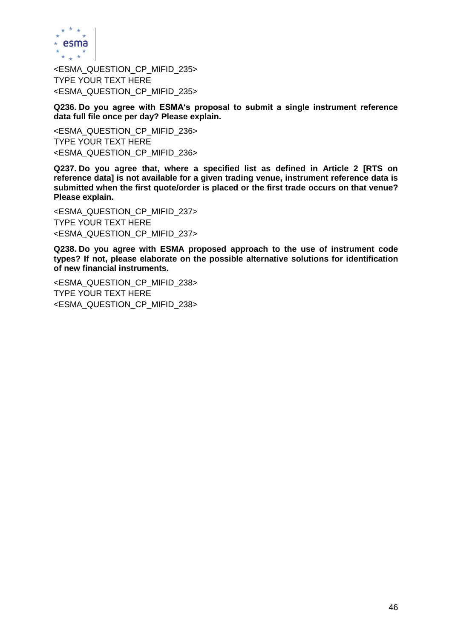

<ESMA\_QUESTION\_CP\_MIFID\_235> TYPE YOUR TEXT HERE <ESMA\_QUESTION\_CP\_MIFID\_235>

**Q236. Do you agree with ESMA's proposal to submit a single instrument reference data full file once per day? Please explain.**

<ESMA\_QUESTION\_CP\_MIFID\_236> TYPE YOUR TEXT HERE <ESMA\_QUESTION\_CP\_MIFID\_236>

**Q237. Do you agree that, where a specified list as defined in Article 2 [RTS on reference data] is not available for a given trading venue, instrument reference data is submitted when the first quote/order is placed or the first trade occurs on that venue? Please explain.** 

<ESMA\_QUESTION\_CP\_MIFID\_237> TYPE YOUR TEXT HERE <ESMA\_QUESTION\_CP\_MIFID\_237>

**Q238. Do you agree with ESMA proposed approach to the use of instrument code types? If not, please elaborate on the possible alternative solutions for identification of new financial instruments.**

<ESMA\_QUESTION\_CP\_MIFID\_238> TYPE YOUR TEXT HERE <ESMA\_QUESTION\_CP\_MIFID\_238>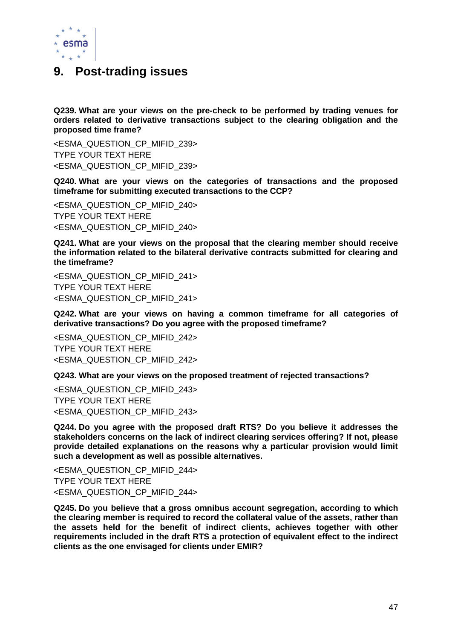

### **9. Post-trading issues**

**Q239. What are your views on the pre-check to be performed by trading venues for orders related to derivative transactions subject to the clearing obligation and the proposed time frame?** 

<ESMA\_QUESTION\_CP\_MIFID\_239> TYPE YOUR TEXT HERE <ESMA\_QUESTION\_CP\_MIFID\_239>

**Q240. What are your views on the categories of transactions and the proposed timeframe for submitting executed transactions to the CCP?** 

<ESMA\_QUESTION\_CP\_MIFID\_240> TYPE YOUR TEXT HERE <ESMA\_QUESTION\_CP\_MIFID\_240>

**Q241. What are your views on the proposal that the clearing member should receive the information related to the bilateral derivative contracts submitted for clearing and the timeframe?** 

<ESMA\_QUESTION\_CP\_MIFID\_241> TYPE YOUR TEXT HERE <ESMA\_QUESTION\_CP\_MIFID\_241>

**Q242. What are your views on having a common timeframe for all categories of derivative transactions? Do you agree with the proposed timeframe?** 

<ESMA\_QUESTION\_CP\_MIFID\_242> TYPE YOUR TEXT HERE <ESMA\_QUESTION\_CP\_MIFID\_242>

**Q243. What are your views on the proposed treatment of rejected transactions?** 

<ESMA\_QUESTION\_CP\_MIFID\_243> TYPE YOUR TEXT HERE <ESMA\_QUESTION\_CP\_MIFID\_243>

**Q244. Do you agree with the proposed draft RTS? Do you believe it addresses the stakeholders concerns on the lack of indirect clearing services offering? If not, please provide detailed explanations on the reasons why a particular provision would limit such a development as well as possible alternatives.**

<ESMA\_QUESTION\_CP\_MIFID\_244> TYPE YOUR TEXT HERE <ESMA\_QUESTION\_CP\_MIFID\_244>

**Q245. Do you believe that a gross omnibus account segregation, according to which the clearing member is required to record the collateral value of the assets, rather than the assets held for the benefit of indirect clients, achieves together with other requirements included in the draft RTS a protection of equivalent effect to the indirect clients as the one envisaged for clients under EMIR?**